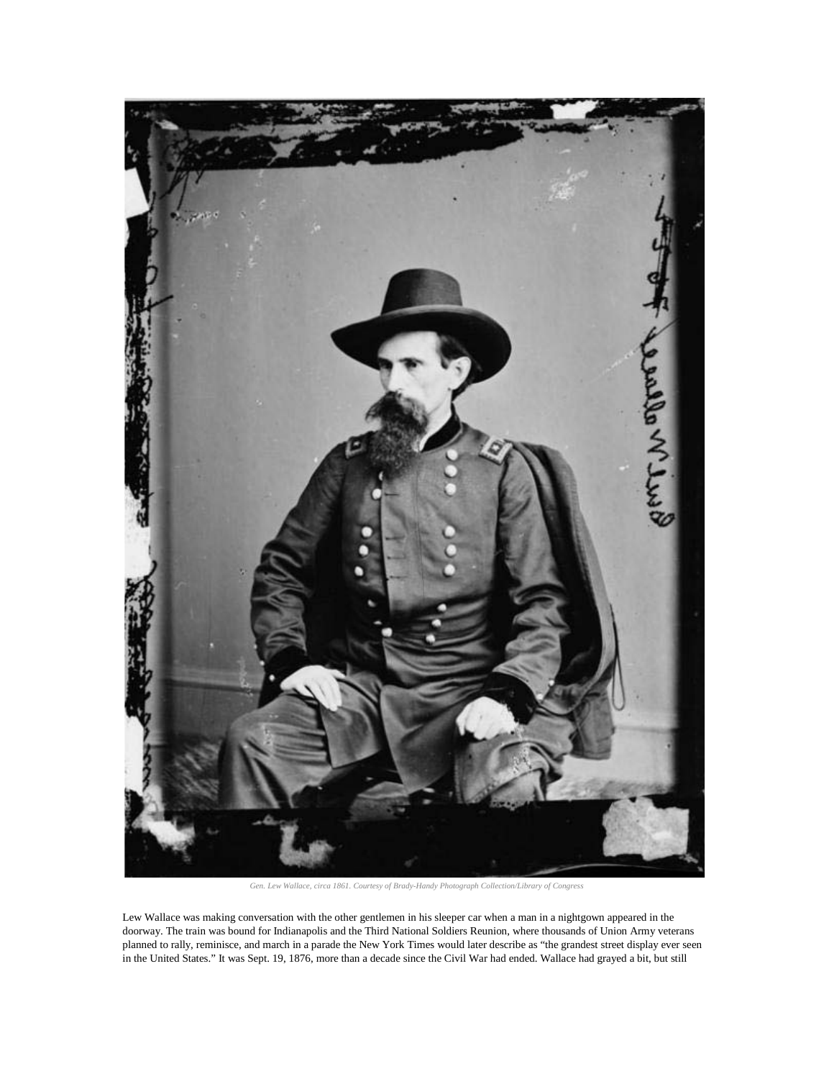

*Gen. Lew Wallace, circa 1861. Courtesy of Brady-Handy Photograph Collection/Library of Congress*

Lew Wallace was making conversation with the other gentlemen in his sleeper car when a man in a nightgown appeared in the doorway. The train was bound for Indianapolis and the Third National Soldiers Reunion, where thousands of Union Army veterans planned to rally, reminisce, and march in a parade the New York Times would later describe as "the grandest street display ever seen in the United States." It was Sept. 19, 1876, more than a decade since the Civil War had ended. Wallace had grayed a bit, but still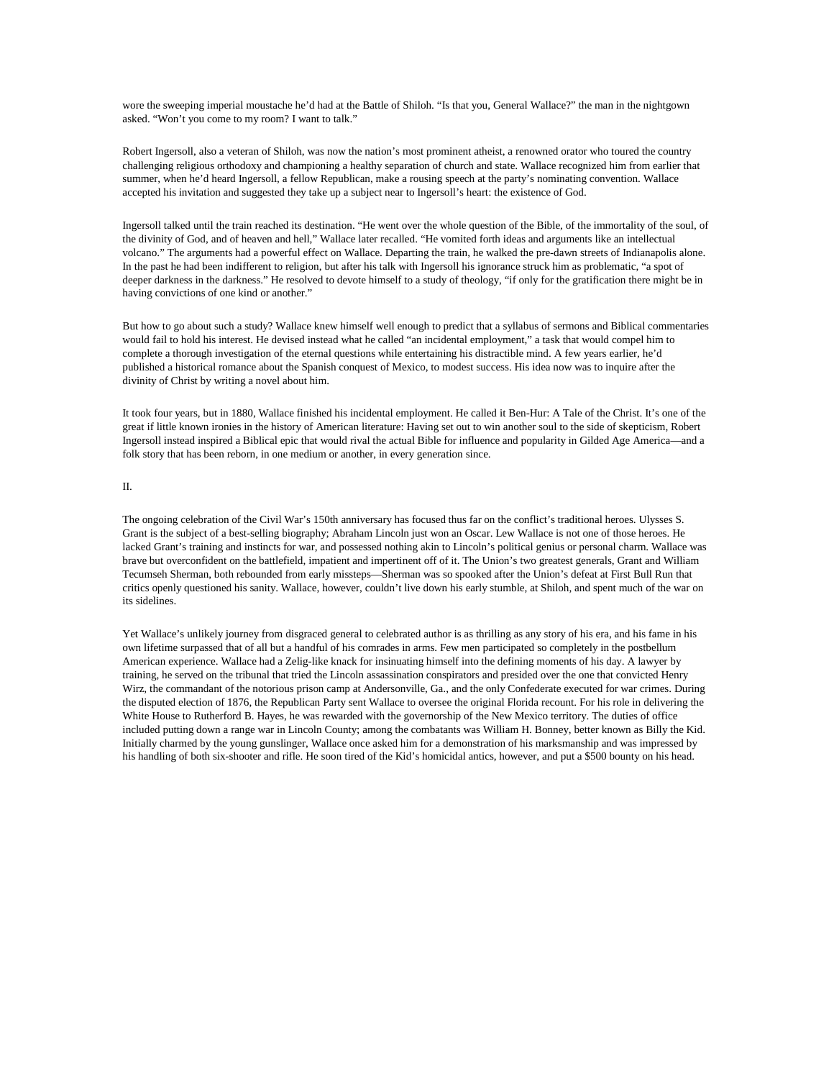wore the sweeping imperial moustache he'd had at the Battle of Shiloh. "Is that you, General Wallace?" the man in the nightgown asked. "Won't you come to my room? I want to talk."

Robert Ingersoll, also a veteran of Shiloh, was now the nation's most [prominent atheist,](http://www.amazon.com/gp/product/0300137257/ref=as_li_ss_tl?ie=UTF8&camp=1789&creative=390957&creativeASIN=0300137257&linkCode=as2&tag=slatmaga-20) a renowned orator who toured the country challenging religious orthodoxy and championing a healthy separation of church and state. Wallace recognized him from earlier that summer, when he'd heard Ingersoll, a fellow Republican, make a rousing speech at the party's nominating convention. Wallace accepted his invitation and suggested they take up a subject near to Ingersoll's heart: the existence of God.

Ingersoll talked until the train reached its destination. "He went over the whole question of the Bible, of the immortality of the soul, of the divinity of God, and of heaven and hell," Wallace later recalled. "He vomited forth ideas and arguments like an intellectual volcano." The arguments had a powerful effect on Wallace. Departing the train, he walked the pre-dawn streets of Indianapolis alone. In the past he had been indifferent to religion, but after his talk with Ingersoll his ignorance struck him as problematic, "a spot of deeper darkness in the darkness." He resolved to devote himself to a study of theology, "if only for the gratification there might be in having convictions of one kind or another."

But how to go about such a study? Wallace knew himself well enough to predict that a syllabus of sermons and Biblical commentaries would fail to hold his interest. He devised instead what he called "an incidental employment," a task that would compel him to complete a thorough investigation of the eternal questions while entertaining his distractible mind. A few years earlier, he'd published [a historical romance](http://books.google.com/books?id=XnweAAAAMAAJ&printsec=frontcover&source=gbs_ge_summary_r&cad=0#v=onepage&q&f=false) about the Spanish conquest of Mexico, to modest success. His idea now was to inquire after the divinity of Christ by writing a novel about him.

It took four years, but in 1880, Wallace finished his incidental employment. He called it [Ben-Hur: A Tale of the Christ.](http://www.amazon.com/gp/product/0451532090/ref=as_li_ss_tl?ie=UTF8&camp=1789&creative=390957&creativeASIN=0451532090&linkCode=as2&tag=slatmaga-20) It's one of the great if little known ironies in the history of American literature: Having set out to win another soul to the side of skepticism, Robert Ingersoll instead inspired a Biblical epic that would rival the actual Bible for influence and popularity in Gilded Age America—and a folk story that has been reborn, in [one medium](http://oldnews.aadl.org/node/98063) or [another,](http://www.amazon.com/gp/product/5552515994/ref=as_li_ss_tl?ie=UTF8&camp=1789&creative=390957&creativeASIN=5552515994&linkCode=as2&tag=slatmaga-20) in every generation since.

## II.

The ongoing celebration of the Civil War's 150th anniversary has focused thus far on the conflict's traditional heroes. Ulysses S. Grant is the subject of a best-selling [biography;](http://www.amazon.com/gp/product/0385532415/ref=as_li_ss_tl?ie=UTF8&camp=1789&creative=390957&creativeASIN=0385532415&linkCode=as2&tag=slatmaga-20) Abraham Lincoln just won an Oscar. Lew Wallace is not one of those heroes. He lacked Grant's training and instincts for war, and possessed nothing akin to Lincoln's political genius or personal charm. Wallace was brave but overconfident on the battlefield, impatient and impertinent off of it. The Union's two greatest generals, Grant and William Tecumseh Sherman, both rebounded from early missteps—Sherman was so spooked after the Union's defeat at First Bull Run that critics openly questioned his sanity. Wallace, however, couldn't live down his early stumble, at Shiloh, and spent much of the war on its sidelines.

Yet Wallace's unlikely journey from disgraced general to celebrated author is as thrilling as any story of his era, and his fame in his own lifetime surpassed that of all but a handful of his comrades in arms. Few men participated so completely in the postbellum American experience. Wallace had a Zelig-like knack for insinuating himself into the defining moments of his day. A lawyer by training, he served on the tribunal that tried the Lincoln assassination conspirators and presided over the one that convicted Henry Wirz, the commandant of the notorious prison camp at Andersonville, Ga., and the only Confederate executed for war crimes. During the disputed election of 1876, the Republican Party sent Wallace to oversee the original Florida recount. For his role in delivering the White House to Rutherford B. Hayes, he was rewarded with the governorship of the New Mexico territory. The duties of office included putting down a range war in Lincoln County; among the combatants was William H. Bonney, better known as Billy the Kid. Initially charmed by the young gunslinger, Wallace once asked him for a demonstration of his marksmanship and was impressed by his handling of both six-shooter and rifle. He soon tired of the Kid's homicidal antics, however, and put a \$500 bounty on his head.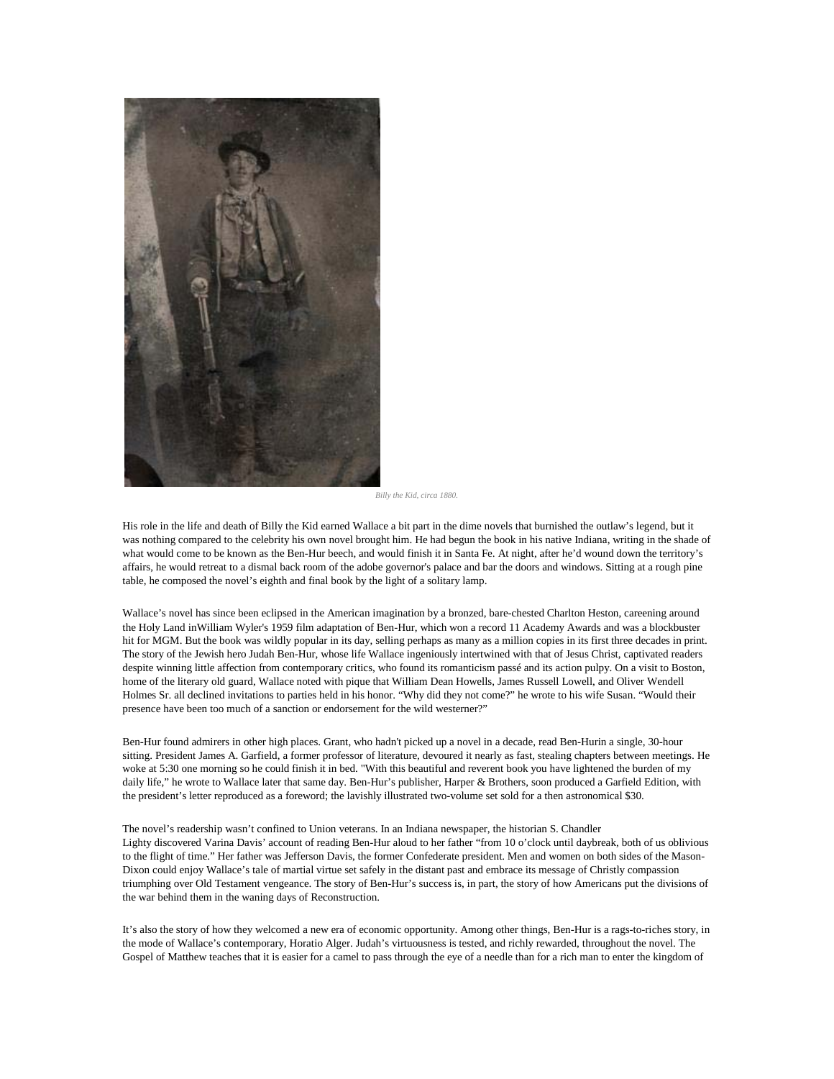

*Billy the Kid, circa 1880.*

His role in the life and death of Billy the Kid earned Wallace a bit part in the dime novels that burnished the outlaw's legend, but it was nothing compared to the celebrity his own novel brought him. He had begun the book in his native Indiana, writing in the shade of what would come to be known as the Ben-Hur beech, and would finish it in Santa Fe. At night, after he'd wound down the territory's affairs, he would retreat to a dismal back room of the adobe governor's palace and bar the doors and windows. Sitting at a rough pine table, he composed the novel's eighth and final book by the light of a solitary lamp.

Wallace's novel has since been eclipsed in the American imagination by a bronzed, bare-chested Charlton Heston, careening around the Holy Land i[nWilliam Wyler's 1959 film](http://www.amazon.com/gp/product/B0009UZG1O/ref=as_li_ss_tl?ie=UTF8&camp=1789&creative=390957&creativeASIN=B0009UZG1O&linkCode=as2&tag=slatmaga-20) adaptation of Ben-Hur, which won a record 11 Academy Awards and was a blockbuster hit for MGM. But the book was wildly popular in its day, selling perhaps as many as a million copies in its first three decades in print. The story of the Jewish hero Judah Ben-Hur, whose life Wallace ingeniously intertwined with that of Jesus Christ, captivated readers despite winning little affection from contemporary critics, who found its romanticism passé and its action pulpy. On a visit to Boston, home of the literary old guard, Wallace noted with pique that William Dean Howells, James Russell Lowell, and Oliver Wendell Holmes Sr. all declined invitations to parties held in his honor. "Why did they not come?" he wrote to his wife Susan. "Would their presence have been too much of a sanction or endorsement for the wild westerner?"

Ben-Hur found admirers in other high places. Grant, who hadn't picked up a novel in a decade, read Ben-Hurin a single, 30-hour sitting. President James A. Garfield, a former professor of literature, devoured it nearly as fast, stealing chapters between meetings. He woke at 5:30 one morning so he could finish it in bed. "With this beautiful and reverent book you have lightened the burden of my daily life," he wrote to Wallace later that same day. Ben-Hur's publisher, Harper & Brothers, soon produced a Garfield Edition, with the president's letter reproduced as a foreword; the lavishly illustrated two-volume set sold for a then astronomical \$30.

The novel's readership wasn't confined to Union veterans. In an Indiana newspaper, the historian S. Chandler Lighty [discovered](http://etd.ohiolink.edu/send-pdf.cgi/Lighty%20Shaun%20Chandler.pdf?miami1130790468) Varina Davis' account of reading Ben-Hur aloud to her father "from 10 o'clock until daybreak, both of us oblivious to the flight of time." Her father was Jefferson Davis, the former Confederate president. Men and women on both sides of the Mason-Dixon could enjoy Wallace's tale of martial virtue set safely in the distant past and embrace its message of Christly compassion triumphing over Old Testament vengeance. The story of Ben-Hur's success is, in part, the story of how Americans put the divisions of the war behind them in the waning days of Reconstruction.

It's also the story of how they welcomed a new era of economic opportunity. Among other things, Ben-Hur is a rags-to-riches story, in the mode of Wallace's contemporary, Horatio Alger. Judah's virtuousness is tested, and richly rewarded, throughout the novel. The Gospel of Matthew teaches that it is easier for a camel to pass through the eye of a needle than for a rich man to enter the kingdom of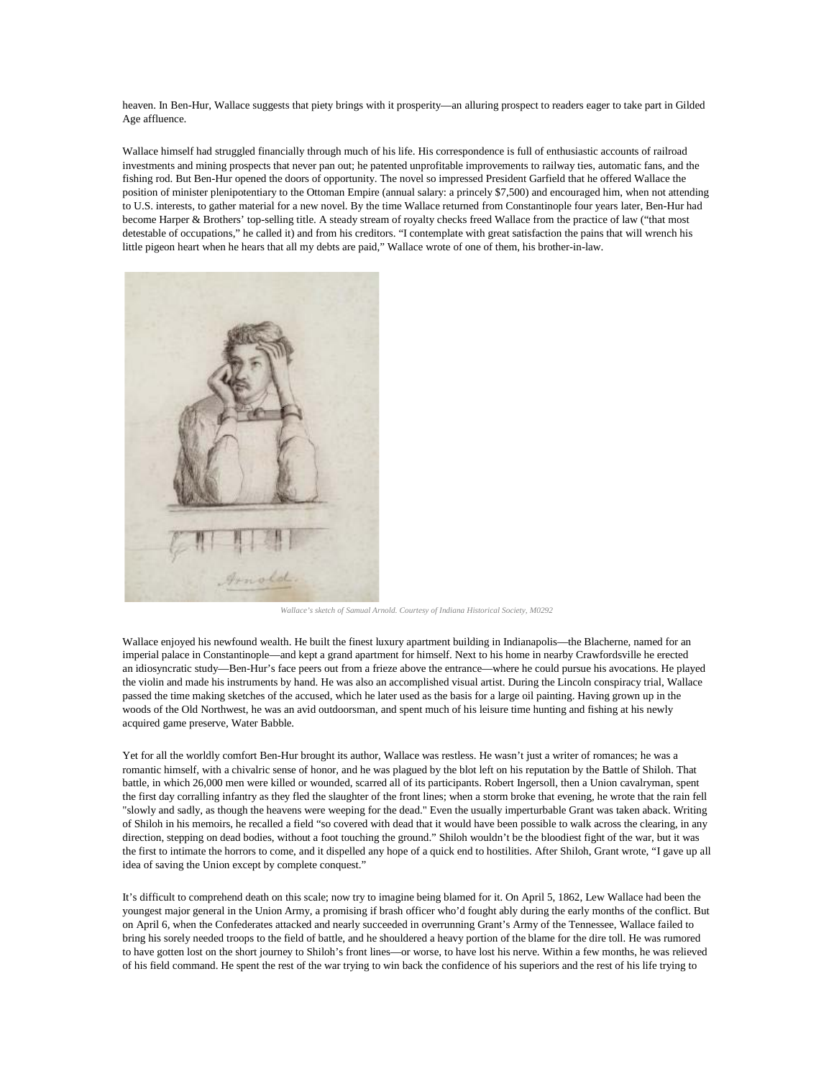heaven. In Ben-Hur, Wallace suggests that piety brings with it prosperity—an alluring prospect to readers eager to take part in Gilded Age affluence.

Wallace himself had struggled financially through much of his life. His correspondence is full of enthusiastic accounts of railroad investments and mining prospects that never pan out; he patented unprofitable improvements to railway ties, automatic fans, and the fishing rod. But Ben-Hur opened the doors of opportunity. The novel so impressed President Garfield that he offered Wallace the position of minister plenipotentiary to the Ottoman Empire (annual salary: a princely \$7,500) and encouraged him, when not attending to U.S. interests, to gather material for a new novel. By the time Wallace returned from Constantinople four years later, Ben-Hur had become Harper & Brothers' top-selling title. A steady stream of royalty checks freed Wallace from the practice of law ("that most detestable of occupations," he called it) and from his creditors. "I contemplate with great satisfaction the pains that will wrench his little pigeon heart when he hears that all my debts are paid," Wallace wrote of one of them, [his brother-in-law.](http://blogs.wabash.edu/dear-old-wabash/2010/12/06/lew-wallace-and-the-elstons/)



*Wallace's sketch of Samual Arnold. Courtesy of Indiana Historical Society, M0292*

Wallace enjoyed his newfound wealth. He built the finest luxury apartment building in Indianapolis—the Blacherne, named for an imperial palace in Constantinople—and kept a grand apartment for himself. Next to his home in nearby Crawfordsville he erected an [idiosyncratic study—](http://www.ben-hur.com/_index.php)Ben-Hur's face peers out from a frieze above the entrance—where he could pursue his avocations. He played the violin and made his instruments by hand. He was also an accomplished visual artist. During the Lincoln conspiracy trial, Wallace passed the time making sketches of the accused, which he later used as the basis for a large oil painting. Having grown up in the woods of the Old Northwest, he was an avid outdoorsman, and spent much of his leisure time hunting and fishing at his newly acquired game preserve, Water Babble.

Yet for all the worldly comfort Ben-Hur brought its author, Wallace was restless. He wasn't just a writer of romances; he was a romantic himself, with a chivalric sense of honor, and he was plagued by the blot left on his reputation by the Battle of Shiloh. That battle, in which 26,000 men were killed or wounded, scarred all of its participants. Robert Ingersoll, then a Union cavalryman, spent the first day corralling infantry as they fled the slaughter of the front lines; when a storm broke that evening, he wrote that the rain fell "slowly and sadly, as though the heavens were weeping for the dead." Even the usually imperturbable Grant was taken aback. Writing of Shiloh in [his memoirs,](http://www.amazon.com/gp/product/0940450585/ref=as_li_ss_tl?ie=UTF8&camp=1789&creative=390957&creativeASIN=0940450585&linkCode=as2&tag=slatmaga-20) he recalled a field "so covered with dead that it would have been possible to walk across the clearing, in any direction, stepping on dead bodies, without a foot touching the ground." Shiloh wouldn't be the bloodiest fight of the war, but it was the first to intimate the horrors to come, and it dispelled any hope of a quick end to hostilities. After Shiloh, Grant wrote, "I gave up all idea of saving the Union except by complete conquest."

It's difficult to comprehend death on this scale; now try to imagine being blamed for it. On April 5, 1862, Lew Wallace had been the youngest major general in the Union Army, a promising if brash officer who'd fought ably during the early months of the conflict. But on April 6, when the Confederates attacked and nearly succeeded in overrunning Grant's Army of the Tennessee, Wallace failed to bring his sorely needed troops to the field of battle, and he shouldered a heavy portion of the blame for the dire toll. He was rumored to have gotten lost on the short journey to Shiloh's front lines—or worse, to have lost his nerve. Within a few months, he was relieved of his field command. He spent the rest of the war trying to win back the confidence of his superiors and the rest of his life trying to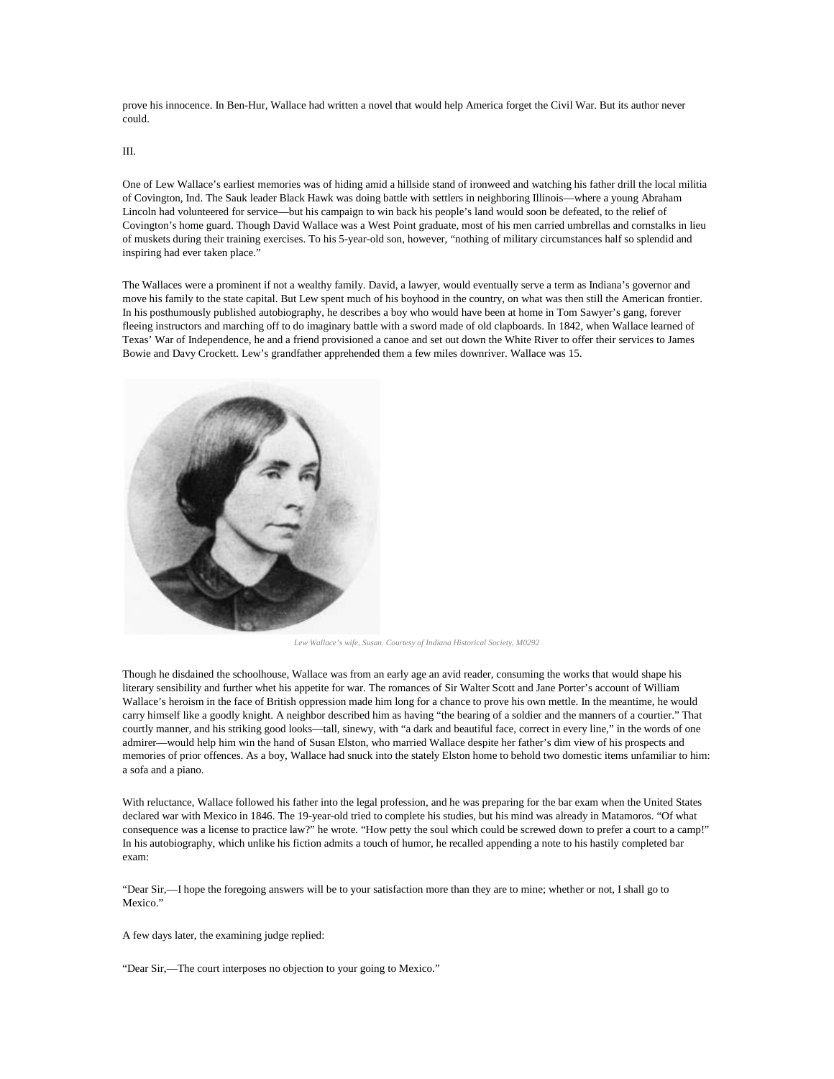prove his innocence. In Ben-Hur, Wallace had written a novel that would help America forget the Civil War. But its author never could.

III.

One of Lew Wallace's earliest memories was of hiding amid a hillside stand of ironweed and watching his father drill the local militia of Covington, Ind. The Sauk leader Black Hawk was doing battle with settlers in neighboring Illinois—where a young Abraham Lincoln had volunteered for service—but his campaign to win back his people's land would soon be defeated, to the relief of Covington's home guard. Though David Wallace was a West Point graduate, most of his men carried umbrellas and cornstalks in lieu of muskets during their training exercises. To his 5-year-old son, however, "nothing of military circumstances half so splendid and inspiring had ever taken place."

The Wallaces were a prominent if not a wealthy family. David, a lawyer, would eventually serve a term as Indiana's governor and move his family to the state capital. But Lew spent much of his boyhood in the country, on what was then still the American frontier. In his posthumously published [autobiography,](http://books.google.com/books?id=8Zo71B1Lb0MC&printsec=frontcover&source=gbs_ge_summary_r&cad=0#v=onepage&q&f=false) he describes a boy who would have been at home in Tom Sawyer's gang, forever fleeing instructors and marching off to do imaginary battle with a sword made of old clapboards. In 1842, when Wallace learned of Texas' War of Independence, he and a friend provisioned a canoe and set out down the White River to offer their services to James Bowie and Davy Crockett. Lew's grandfather apprehended them a few miles downriver. Wallace was 15.



*Lew Wallace's wife, Susan. Courtesy of Indiana Historical Society, M0292*

Though he disdained the schoolhouse, Wallace was from an early age an avid reader, consuming the works that would shape his literary sensibility and further whet his appetite for war. The romances of Sir Walter Scott and Jane Porter's account of William Wallace's heroism in the face of British oppression made him long for a chance to prove his own mettle. In the meantime, he would carry himself like a goodly knight. A neighbor described him as having "the bearing of a soldier and the manners of a courtier." That courtly manner, and his striking good looks—tall, sinewy, with "a dark and beautiful face, correct in every line," in the words of one admirer—would help him win the hand of Susan Elston, who married Wallace despite her father's dim view of his prospects and memories of prior offences. As a boy, Wallace had snuck into the stately Elston home to behold two domestic items unfamiliar to him: a sofa and a piano.

With reluctance, Wallace followed his father into the legal profession, and he was preparing for the bar exam when the United States declared war with Mexico in 1846. The 19-year-old tried to complete his studies, but his mind was already in Matamoros. "Of what consequence was a license to practice law?" he wrote. "How petty the soul which could be screwed down to prefer a court to a camp!" In his autobiography, which unlike his fiction admits a touch of humor, he recalled appending a note to his hastily completed bar exam:

"Dear Sir,—I hope the foregoing answers will be to your satisfaction more than they are to mine; whether or not, I shall go to Mexico."

A few days later, the examining judge replied:

"Dear Sir,—The court interposes no objection to your going to Mexico."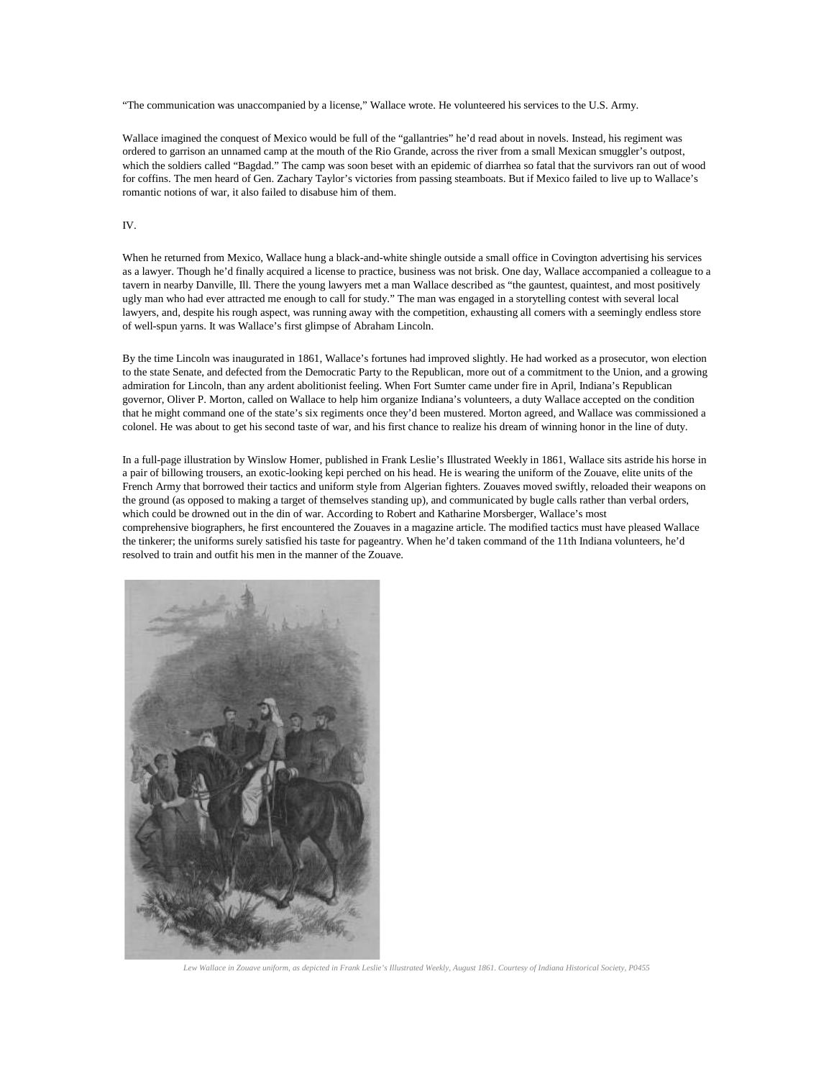"The communication was unaccompanied by a license," Wallace wrote. He volunteered his services to the U.S. Army.

Wallace imagined the conquest of Mexico would be full of the "gallantries" he'd read about in novels. Instead, his regiment was ordered to garrison an unnamed camp at the mouth of the Rio Grande, across the river from a small Mexican smuggler's outpost, which the soldiers called "Bagdad." The camp was soon beset with an epidemic of diarrhea so fatal that the survivors ran out of wood for coffins. The men heard of Gen. Zachary Taylor's victories from passing steamboats. But if Mexico failed to live up to Wallace's romantic notions of war, it also failed to disabuse him of them.

# IV.

When he returned from Mexico, Wallace hung a black-and-white shingle outside a small office in Covington advertising his services as a lawyer. Though he'd finally acquired a license to practice, business was not brisk. One day, Wallace accompanied a colleague to a tavern in nearby Danville, Ill. There the young lawyers met a man Wallace described as "the gauntest, quaintest, and most positively ugly man who had ever attracted me enough to call for study." The man was engaged in a storytelling contest with several local lawyers, and, despite his rough aspect, was running away with the competition, exhausting all comers with a seemingly endless store of well-spun yarns. It was Wallace's first glimpse of Abraham Lincoln.

By the time Lincoln was inaugurated in 1861, Wallace's fortunes had improved slightly. He had worked as a prosecutor, won election to the state Senate, and defected from the Democratic Party to the Republican, more out of a commitment to the Union, and a growing admiration for Lincoln, than any ardent abolitionist feeling. When Fort Sumter came under fire in April, Indiana's Republican governor, Oliver P. Morton, called on Wallace to help him organize Indiana's volunteers, a duty Wallace accepted on the condition that he might command one of the state's six regiments once they'd been mustered. Morton agreed, and Wallace was commissioned a colonel. He was about to get his second taste of war, and his first chance to realize his dream of winning honor in the line of duty.

In a full-page illustration by Winslow Homer, published in Frank Leslie's Illustrated Weekly in 1861, Wallace sits astride his horse in a pair of billowing trousers, an exotic-looking kepi perched on his head. He is wearing the uniform of the Zouave, elite units of the French Army that borrowed their tactics and uniform style from Algerian fighters. Zouaves moved swiftly, reloaded their weapons on the ground (as opposed to making a target of themselves standing up), and communicated by bugle calls rather than verbal orders, which could be drowned out in the din of war. According to Robert and Katharine Morsberger, Wallace's most comprehensive [biographers,](http://www.amazon.com/gp/product/0070433054/ref=as_li_ss_tl?ie=UTF8&camp=1789&creative=390957&creativeASIN=0070433054&linkCode=as2&tag=slatmaga-20) he first encountered the Zouaves in a magazine article. The modified tactics must have pleased Wallace the tinkerer; the uniforms surely satisfied his taste for pageantry. When he'd taken command of the 11th Indiana volunteers, he'd resolved to train and outfit his men in the manner of the Zouave.



*Lew Wallace in Zouave uniform, as depicted in Frank Leslie's Illustrated Weekly, August 1861. Courtesy of Indiana Historical Society, P0455*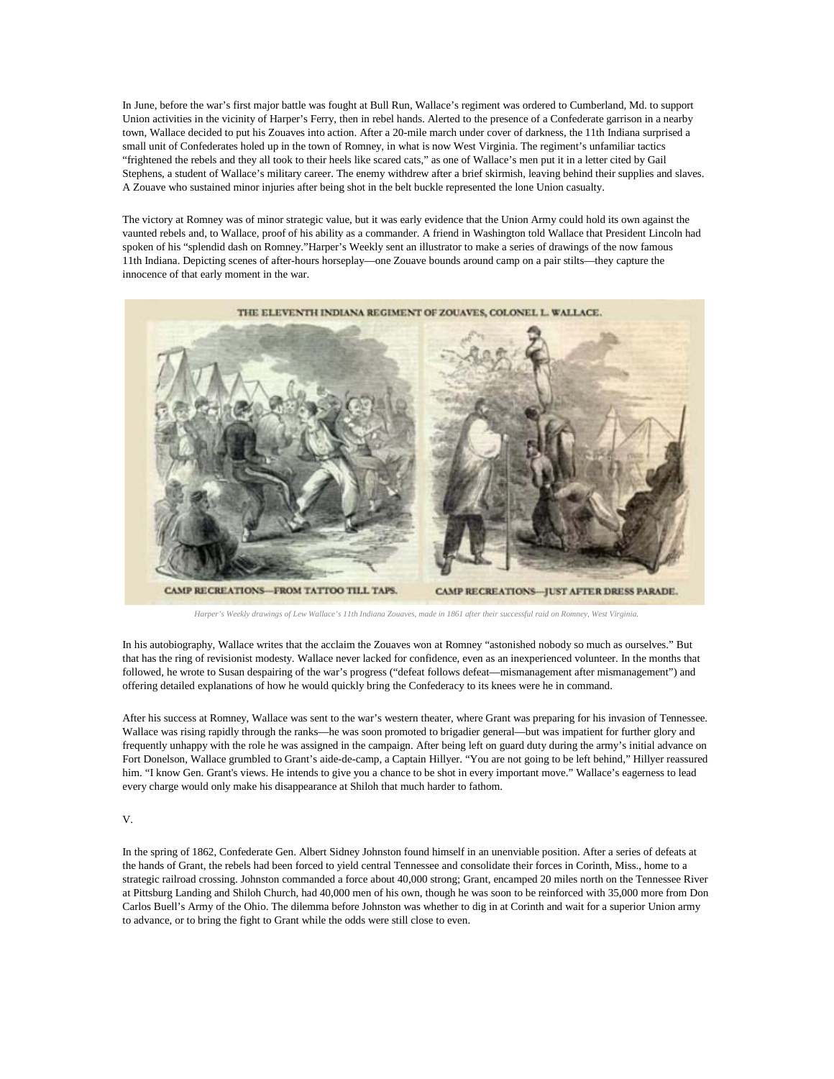In June, before the war's first major battle was fought at Bull Run, Wallace's regiment was ordered to Cumberland, Md. to support Union activities in the vicinity of Harper's Ferry, then in rebel hands. Alerted to the presence of a Confederate garrison in a nearby town, Wallace decided to put his Zouaves into action. After a 20-mile march under cover of darkness, the 11th Indiana surprised a small unit of Confederates holed up in the town of Romney, in what is now West Virginia. The regiment's unfamiliar tactics "frightened the rebels and they all took to their heels like scared cats," as one of Wallace's men put it in a letter [cited](http://www.amazon.com/gp/product/0871952874/ref=as_li_ss_tl?ie=UTF8&camp=1789&creative=390957&creativeASIN=0871952874&linkCode=as2&tag=slatmaga-20) by Gail Stephens, a student of Wallace's military career. The enemy withdrew after a brief skirmish, leaving behind their supplies and slaves. A Zouave who sustained minor injuries after being shot in the belt buckle represented the lone Union casualty.

The victory at Romney was of minor strategic value, but it was early evidence that the Union Army could hold its own against the vaunted rebels and, to Wallace, proof of his ability as a commander. A friend in Washington told Wallace that President Lincoln had spoken of his "splendid dash on Romney."Harper's Weekly sent an illustrator to make a series of drawings of the now famous 11th Indiana. Depicting scenes of after-hours horseplay—one Zouave bounds around camp on a pair stilts—they capture the innocence of that early moment in the war.



*Harper's Weekly drawings of Lew Wallace's 11th Indiana Zouaves, made in 1861 after their successful raid on Romney, West Virginia.*

In his autobiography, Wallace writes that the acclaim the Zouaves won at Romney "astonished nobody so much as ourselves." But that has the ring of revisionist modesty. Wallace never lacked for confidence, even as an inexperienced volunteer. In the months that followed, he wrote to Susan despairing of the war's progress ("defeat follows defeat—mismanagement after mismanagement") and offering detailed explanations of how he would quickly bring the Confederacy to its knees were he in command.

After his success at Romney, Wallace was sent to the war's western theater, where Grant was preparing for his invasion of Tennessee. Wallace was rising rapidly through the ranks—he was soon promoted to brigadier general—but was impatient for further glory and frequently unhappy with the role he was assigned in the campaign. After being left on guard duty during the army's initial advance on Fort Donelson, Wallace grumbled to Grant's aide-de-camp, a Captain Hillyer. "You are not going to be left behind," Hillyer reassured him. "I know Gen. Grant's views. He intends to give you a chance to be shot in every important move." Wallace's eagerness to lead every charge would only make his disappearance at Shiloh that much harder to fathom.

# V.

In the spring of 1862, Confederate Gen. Albert Sidney Johnston found himself in an unenviable position. After a series of defeats at the hands of Grant, the rebels had been forced to yield central Tennessee and consolidate their forces in Corinth, Miss., home to a strategic railroad crossing. Johnston commanded a force about 40,000 strong; Grant, encamped 20 miles north on the Tennessee River at Pittsburg Landing and Shiloh Church, had 40,000 men of his own, though he was soon to be reinforced with 35,000 more from Don Carlos Buell's Army of the Ohio. The dilemma before Johnston was whether to dig in at Corinth and wait for a superior Union army to advance, or to bring the fight to Grant while the odds were still close to even.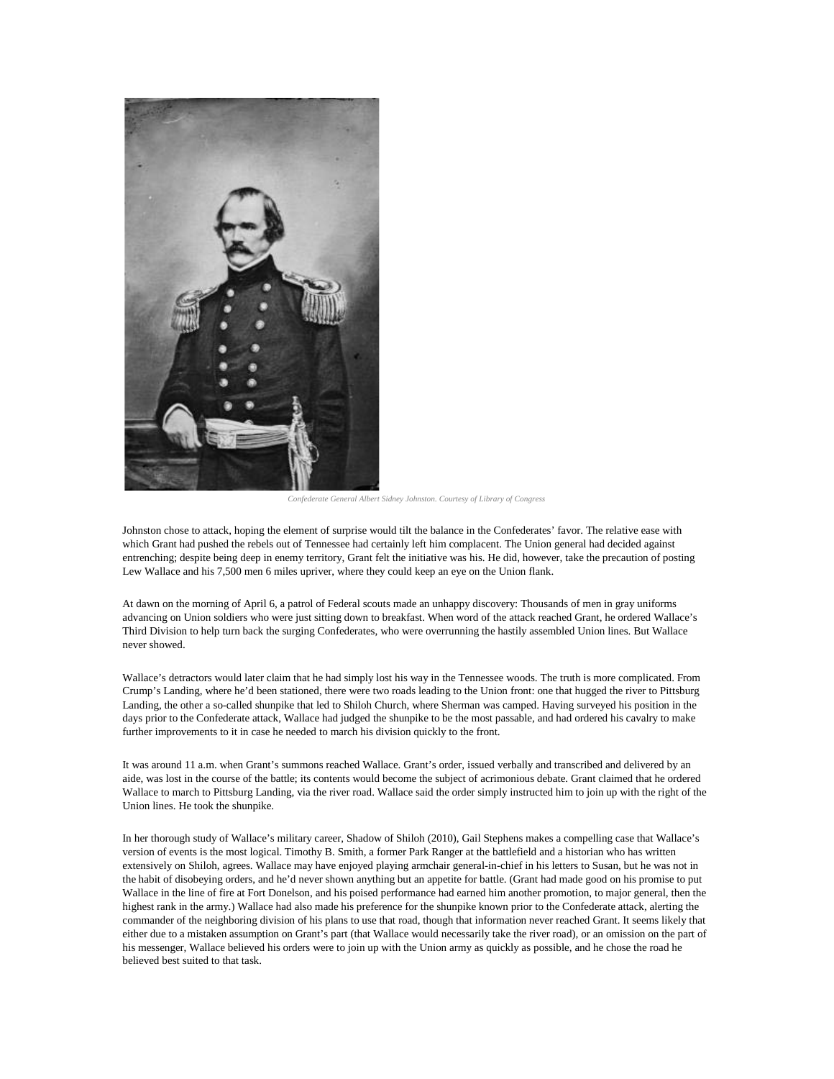

*Confederate General Albert Sidney Johnston. Courtesy of Library of Congress*

Johnston chose to attack, hoping the element of surprise would tilt the balance in the Confederates' favor. The relative ease with which Grant had pushed the rebels out of Tennessee had certainly left him complacent. The Union general had decided against entrenching; despite being deep in enemy territory, Grant felt the initiative was his. He did, however, take the precaution of posting Lew Wallace and his 7,500 men 6 miles upriver, where they could keep an eye on the Union flank.

At dawn on the morning of April 6, a patrol of Federal scouts made an unhappy discovery: Thousands of men in gray uniforms advancing on Union soldiers who were just sitting down to breakfast. When word of the attack reached Grant, he ordered Wallace's Third Division to help turn back the surging Confederates, who were overrunning the hastily assembled Union lines. But Wallace never showed.

Wallace's detractors would later claim that he had simply lost his way in the Tennessee woods. The truth is more complicated. From Crump's Landing, where he'd been stationed, there were two roads leading to the Union front: one that hugged the river to Pittsburg Landing, the other a so-called [shunpike](http://www.merriam-webster.com/dictionary/shunpike) that led to Shiloh Church, where Sherman was camped. Having surveyed his position in the days prior to the Confederate attack, Wallace had judged the shunpike to be the most passable, and had ordered his cavalry to make further improvements to it in case he needed to march his division quickly to the front.

It was around 11 a.m. when Grant's summons reached Wallace. Grant's order, issued verbally and transcribed and delivered by an aide, was lost in the course of the battle; its contents would become the subject of acrimonious debate. Grant claimed that he ordered Wallace to march to Pittsburg Landing, via the river road. Wallace said the order simply instructed him to join up with the right of the Union lines. He took the shunpike.

In her thorough study of Wallace's military career, [Shadow of Shiloh](http://www.amazon.com/gp/product/0871952874/ref=as_li_ss_tl?ie=UTF8&camp=1789&creative=390957&creativeASIN=0871952874&linkCode=as2&tag=slatmaga-20) (2010), Gail Stephens makes a compelling case that Wallace's version of events is the most logical. Timothy B. Smith, a former Park Ranger at the battlefield and a historian who has [written](http://www.amazon.com/gp/product/1572334665/ref=as_li_ss_tl?ie=UTF8&camp=1789&creative=390957&creativeASIN=1572334665&linkCode=as2&tag=slatmaga-20)  [extensively](http://www.amazon.com/gp/product/1572334665/ref=as_li_ss_tl?ie=UTF8&camp=1789&creative=390957&creativeASIN=1572334665&linkCode=as2&tag=slatmaga-20) on Shiloh, agrees. Wallace may have enjoyed playing armchair general-in-chief in his letters to Susan, but he was not in the habit of disobeying orders, and he'd never shown anything but an appetite for battle. (Grant had made good on his promise to put Wallace in the line of fire at Fort Donelson, and his poised performance had earned him another promotion, to major general, then the highest rank in the army.) Wallace had also made his preference for the shunpike known prior to the Confederate attack, alerting the commander of the neighboring division of his plans to use that road, though that information never reached Grant. It seems likely that either due to a mistaken assumption on Grant's part (that Wallace would necessarily take the river road), or an omission on the part of his messenger, Wallace believed his orders were to join up with the Union army as quickly as possible, and he chose the road he believed best suited to that task.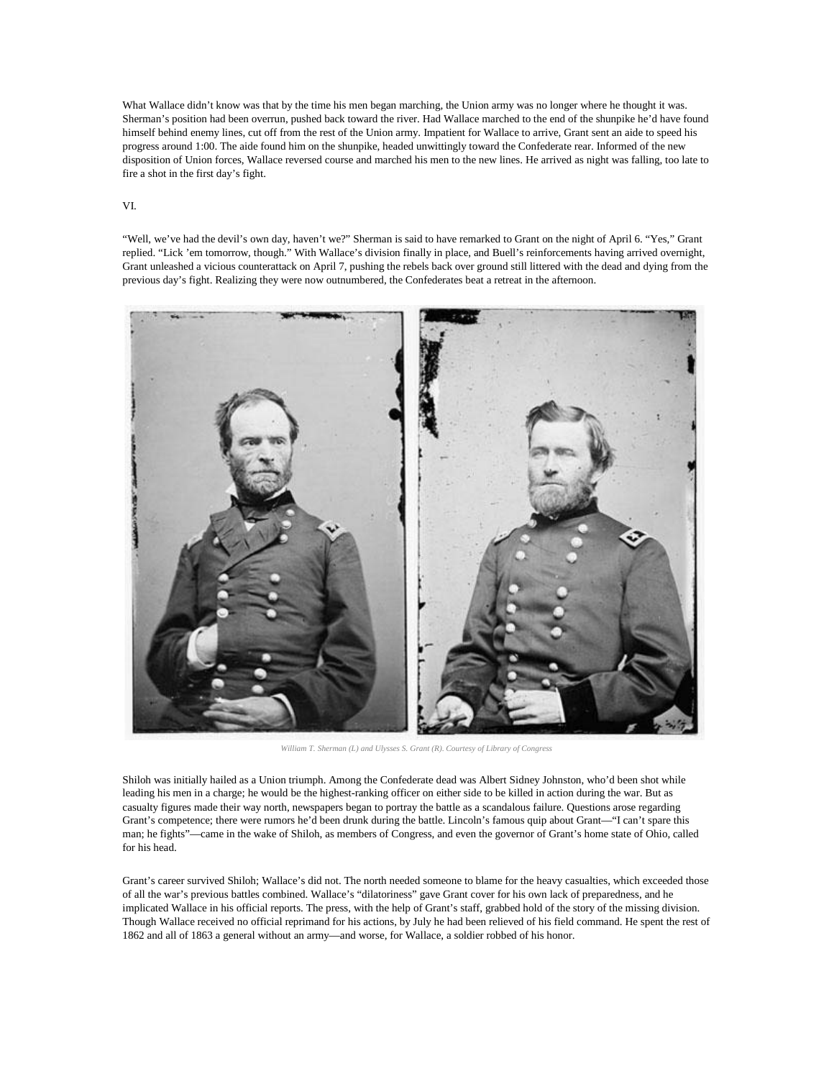What Wallace didn't know was that by the time his men began marching, the Union army was no longer where he thought it was. Sherman's position had been overrun, pushed back toward the river. Had Wallace marched to the end of the shunpike he'd have found himself behind enemy lines, cut off from the rest of the Union army. Impatient for Wallace to arrive, Grant sent an aide to speed his progress around 1:00. The aide found him on the shunpike, headed unwittingly toward the Confederate rear. Informed of the new disposition of Union forces, Wallace reversed course and marched his men to the new lines. He arrived as night was falling, too late to fire a shot in the first day's fight.

## VI.

"Well, we've had the devil's own day, haven't we?" Sherman [is said](http://www.amazon.com/gp/product/0316132446/ref=as_li_ss_tl?ie=UTF8&camp=1789&creative=390957&creativeASIN=0316132446&linkCode=as2&tag=slatmaga-20) to have remarked to Grant on the night of April 6. "Yes," Grant replied. "Lick 'em tomorrow, though." With Wallace's division finally in place, and Buell's reinforcements having arrived overnight, Grant unleashed a vicious counterattack on April 7, pushing the rebels back over ground still littered with the dead and dying from the previous day's fight. Realizing they were now outnumbered, the Confederates beat a retreat in the afternoon.



*William T. Sherman (L) and Ulysses S. Grant (R). Courtesy of Library of Congress*

Shiloh was initially hailed as a Union triumph. Among the Confederate dead was Albert Sidney Johnston, who'd been shot while leading his men in a charge; he would be the highest-ranking officer on either side to be killed in action during the war. But as casualty figures made their way north, newspapers began to portray the battle as a scandalous failure. Questions arose regarding Grant's competence; there were rumors he'd been drunk during the battle. Lincoln's famous quip about Grant—"I can't spare this man; he fights"—came in the wake of Shiloh, as members of Congress, and even the governor of Grant's home state of Ohio, called for his head.

Grant's career survived Shiloh; Wallace's did not. The north needed someone to blame for the heavy casualties, which exceeded those of all the war's previous battles combined. Wallace's "dilatoriness" gave Grant cover for his own lack of preparedness, and he implicated Wallace in his official reports. The press, with the help of Grant's staff, grabbed hold of the story of the missing division. Though Wallace received no official reprimand for his actions, by July he had been relieved of his field command. He spent the rest of 1862 and all of 1863 a general without an army—and worse, for Wallace, a soldier robbed of his honor.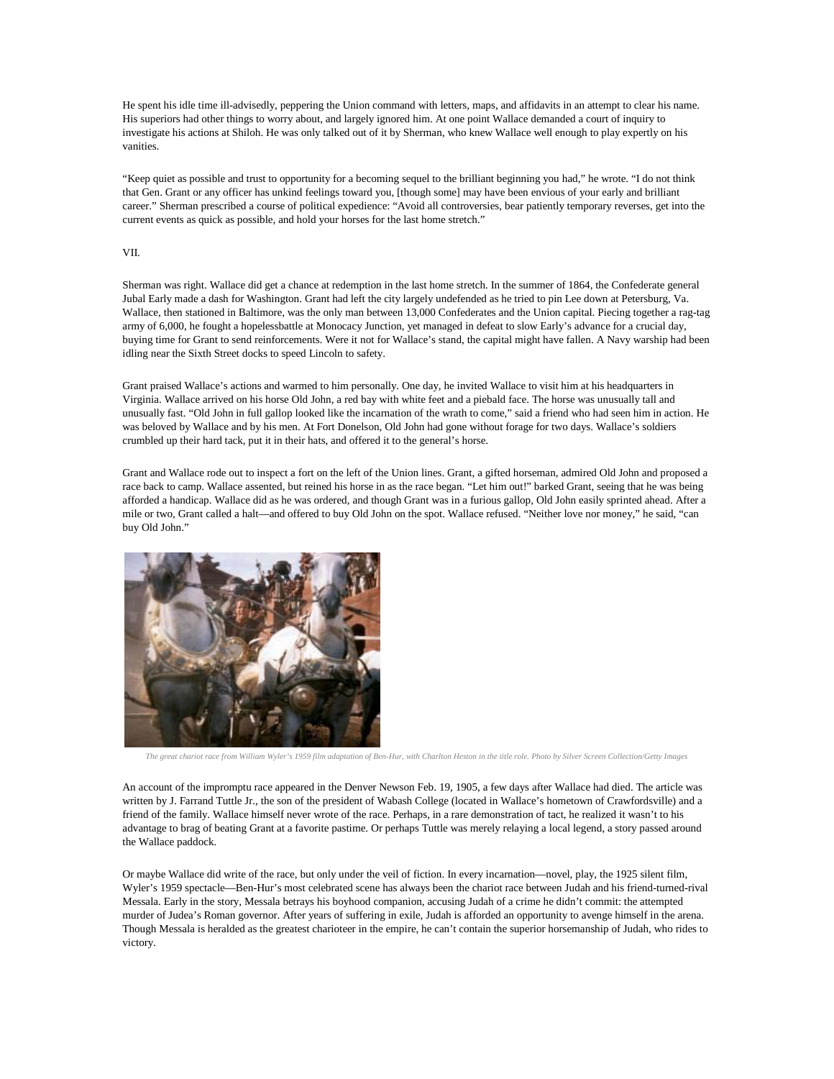He spent his idle time ill-advisedly, peppering the Union command with letters, maps, and affidavits in an attempt to clear his name. His superiors had other things to worry about, and largely ignored him. At one point Wallace demanded a court of inquiry to investigate his actions at Shiloh. He was only talked out of it by Sherman, who knew Wallace well enough to play expertly on his vanities.

"Keep quiet as possible and trust to opportunity for a becoming sequel to the brilliant beginning you had," he wrote. "I do not think that Gen. Grant or any officer has unkind feelings toward you, [though some] may have been envious of your early and brilliant career." Sherman prescribed a course of political expedience: "Avoid all controversies, bear patiently temporary reverses, get into the current events as quick as possible, and hold your horses for the last home stretch."

## VII.

Sherman was right. Wallace did get a chance at redemption in the last home stretch. In the summer of 1864, the Confederate general Jubal Early made a dash for Washington. Grant had left the city largely undefended as he tried to pin Lee down at Petersburg, Va. Wallace, then stationed in Baltimore, was the only man between 13,000 Confederates and the Union capital. Piecing together a rag-tag army of 6,000, he fought a hopeles[sbattle](http://www.nps.gov/mono/index.htm) at Monocacy Junction, yet managed in defeat to slow Early's advance for a crucial day, buying time for Grant to send reinforcements. Were it not for Wallace's stand, the capital might have fallen. A Navy warship had been idling near the Sixth Street docks to speed Lincoln to safety.

Grant praised Wallace's actions and warmed to him personally. One day, he invited Wallace to visit him at his headquarters in Virginia. Wallace arrived on his horse Old John, a red bay with white feet and a piebald face. The horse was unusually tall and unusually fast. "Old John in full gallop looked like the incarnation of the wrath to come," said a friend who had seen him in action. He was beloved by Wallace and by his men. At Fort Donelson, Old John had gone without forage for two days. Wallace's soldiers crumbled up their hard tack, put it in their hats, and offered it to the general's horse.

Grant and Wallace rode out to inspect a fort on the left of the Union lines. Grant, a gifted horseman, admired Old John and proposed a race back to camp. Wallace assented, but reined his horse in as the race began. "Let him out!" barked Grant, seeing that he was being afforded a handicap. Wallace did as he was ordered, and though Grant was in a furious gallop, Old John easily sprinted ahead. After a mile or two, Grant called a halt—and offered to buy Old John on the spot. Wallace refused. "Neither love nor money," he said, "can buy Old John."



*The great chariot race from William Wyler's 1959 film adaptation of Ben-Hur, with Charlton Heston in the title role. Photo by Silver Screen Collection/Getty Images*

An account of the impromptu race appeared in the Denver Newson Feb. 19, 1905, a few days after Wallace had died. The article was written by J. Farrand Tuttle Jr., the son of the president of Wabash College (located in Wallace's hometown of Crawfordsville) and a friend of the family. Wallace himself never wrote of the race. Perhaps, in a rare demonstration of tact, he realized it wasn't to his advantage to brag of beating Grant at a favorite pastime. Or perhaps Tuttle was merely relaying a local legend, a story passed around the Wallace paddock.

Or maybe Wallace did write of the race, but only under the veil of fiction. In every incarnation—novel, play, the 1925 silent film, Wyler's 1959 spectacle—Ben-Hur's most celebrated scene has always been the chariot race between Judah and his friend-turned-rival Messala. Early in the story, Messala betrays his boyhood companion, accusing Judah of a crime he didn't commit: the attempted murder of Judea's Roman governor. After years of suffering in exile, Judah is afforded an opportunity to avenge himself in the arena. Though Messala is heralded as the greatest charioteer in the empire, he can't contain the superior horsemanship of Judah, who rides to victory.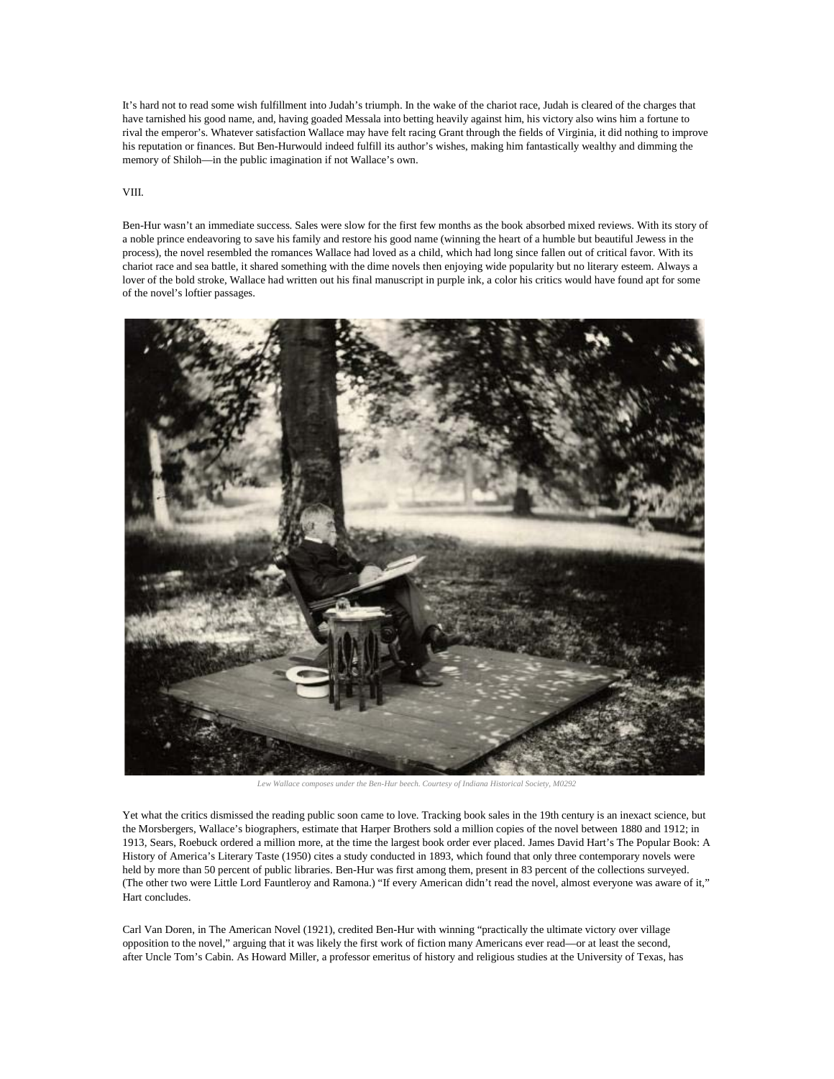It's hard not to read some wish fulfillment into Judah's triumph. In the wake of the chariot race, Judah is cleared of the charges that have tarnished his good name, and, having goaded Messala into betting heavily against him, his victory also wins him a fortune to rival the emperor's. Whatever satisfaction Wallace may have felt racing Grant through the fields of Virginia, it did nothing to improve his reputation or finances. But Ben-Hurwould indeed fulfill its author's wishes, making him fantastically wealthy and dimming the memory of Shiloh—in the public imagination if not Wallace's own.

#### VIII.

Ben-Hur wasn't an immediate success. Sales were slow for the first few months as the book absorbed mixed reviews. With its story of a noble prince endeavoring to save his family and restore his good name (winning the heart of a humble but beautiful Jewess in the process), the novel resembled the romances Wallace had loved as a child, which had long since fallen out of critical favor. With its chariot race and sea battle, it shared something with the dime novels then enjoying wide popularity but no literary esteem. Always a lover of the bold stroke, Wallace had written out his final manuscript in purple ink, a color his critics would have found apt for some of the novel's loftier passages.



*Lew Wallace composes under the Ben-Hur beech. Courtesy of Indiana Historical Society, M0292*

Yet what the critics dismissed the reading public soon came to love. Tracking book sales in the 19th century is an inexact science, but the Morsbergers, Wallace's biographers, estimate that Harper Brothers sold a million copies of the novel between 1880 and 1912; in 1913, Sears, Roebuck ordered a million more, at the time the largest book order ever placed. James David Hart's [The Popular Book: A](http://books.google.com/books/about/The_Popular_Book.html?id=ZHrPPt5rlvsC)  [History of America's Literary Taste](http://books.google.com/books/about/The_Popular_Book.html?id=ZHrPPt5rlvsC) (1950) cites a study conducted in 1893, which found that only three contemporary novels were held by more than 50 percent of public libraries. Ben-Hur was first among them, present in 83 percent of the collections surveyed. (The other two were Little Lord Fauntleroy and Ramona.) "If every American didn't read the novel, almost everyone was aware of it," Hart concludes.

Carl Van Doren, in [The American Novel](http://books.google.com/books?id=JQNaAAAAMAAJ) (1921), credited Ben-Hur with winning "practically the ultimate victory over village opposition to the novel," arguing that it was likely the first work of fiction many Americans ever read—or at least the second, after Uncle Tom's Cabin. As Howard Miller, a professor emeritus of history and religious studies at the University of Texas, [has](http://www.jstor.org/discover/10.2307/27792886?uid=3739696&uid=2&uid=4&uid=3739256&sid=21101689205271)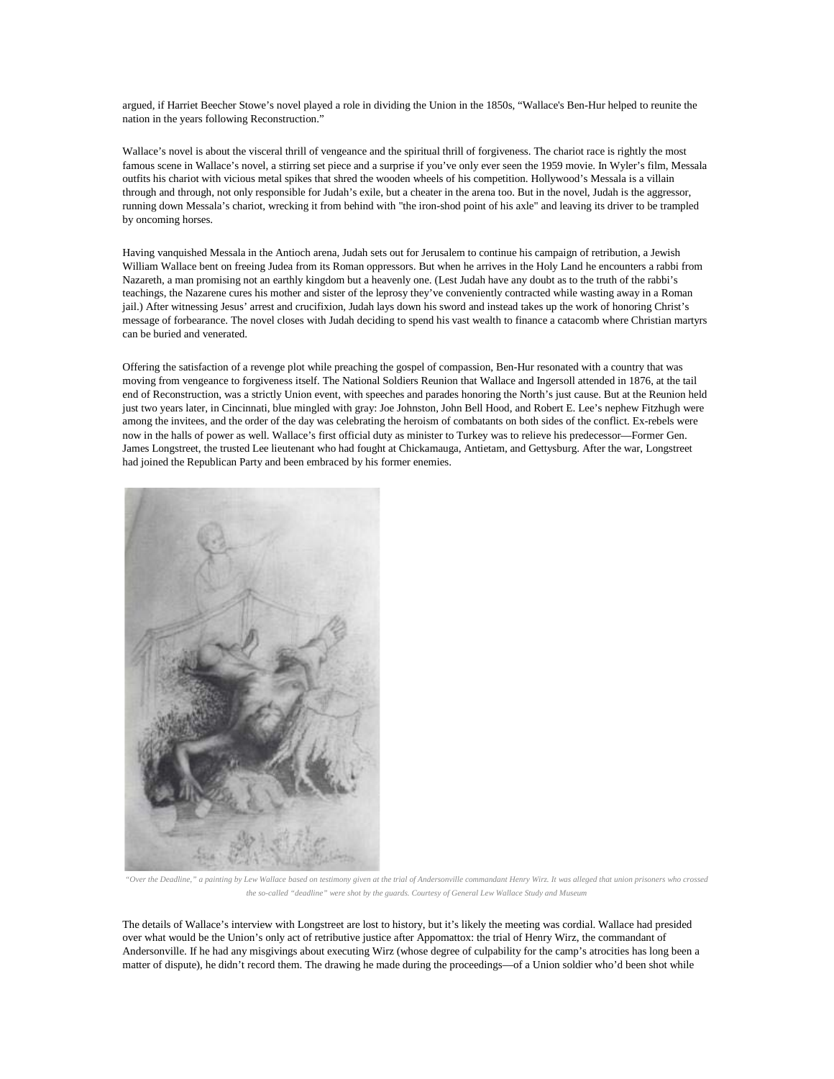argued, if Harriet Beecher Stowe's novel played a role in dividing the Union in the 1850s, "Wallace's Ben-Hur helped to reunite the nation in the years following Reconstruction."

Wallace's novel is about the visceral thrill of vengeance and the spiritual thrill of forgiveness. The chariot race is rightly the most famous scene in Wallace's novel, a stirring set piece and a surprise if you've only ever seen the 1959 movie. In Wyler's film, Messala outfits his chariot with vicious metal spikes that shred the wooden wheels of his competition. Hollywood's Messala is a villain through and through, not only responsible for Judah's exile, but a cheater in the arena too. But in the novel, Judah is the aggressor, running down Messala's chariot, wrecking it from behind with "the iron-shod point of his axle" and leaving its driver to be trampled by oncoming horses.

Having vanquished Messala in the Antioch arena, Judah sets out for Jerusalem to continue his campaign of retribution, a Jewish William Wallace bent on freeing Judea from its Roman oppressors. But when he arrives in the Holy Land he encounters a rabbi from Nazareth, a man promising not an earthly kingdom but a heavenly one. (Lest Judah have any doubt as to the truth of the rabbi's teachings, the Nazarene cures his mother and sister of the leprosy they've conveniently contracted while wasting away in a Roman jail.) After witnessing Jesus' arrest and crucifixion, Judah lays down his sword and instead takes up the work of honoring Christ's message of forbearance. The novel closes with Judah deciding to spend his vast wealth to finance a catacomb where Christian martyrs can be buried and venerated.

Offering the satisfaction of a revenge plot while preaching the gospel of compassion, Ben-Hur resonated with a country that was moving from vengeance to forgiveness itself. The National Soldiers Reunion that Wallace and Ingersoll attended in 1876, at the tail end of Reconstruction, was a strictly Union event, with speeches and parades honoring the North's just cause. But at the Reunion held just two years later, in Cincinnati, blue mingled with gray: Joe Johnston, John Bell Hood, and Robert E. Lee's nephew Fitzhugh were among the invitees, and the order of the day was celebrating the heroism of combatants on both sides of the conflict. Ex-rebels were now in the halls of power as well. Wallace's first official duty as minister to Turkey was to relieve his predecessor—Former Gen. James Longstreet, the trusted Lee lieutenant who had fought at Chickamauga, Antietam, and Gettysburg. After the war, Longstreet had joined the Republican Party and been embraced by his former enemies.



*"Over the Deadline," a painting by Lew Wallace based on testimony given at the trial of Andersonville commandant Henry Wirz. It was alleged that union prisoners who crossed the so-called "deadline" were shot by the guards. Courtesy of General Lew Wallace Study and Museum*

The details of Wallace's interview with Longstreet are lost to history, but it's likely the meeting was cordial. Wallace had presided over what would be the Union's only act of retributive justice after Appomattox: the trial of Henry Wirz, the commandant of Andersonville. If he had any misgivings about executing Wirz (whose degree of culpability for the camp's atrocities has long been a matter of dispute), he didn't record them. The drawing he made during the proceedings—of a Union soldier who'd been shot while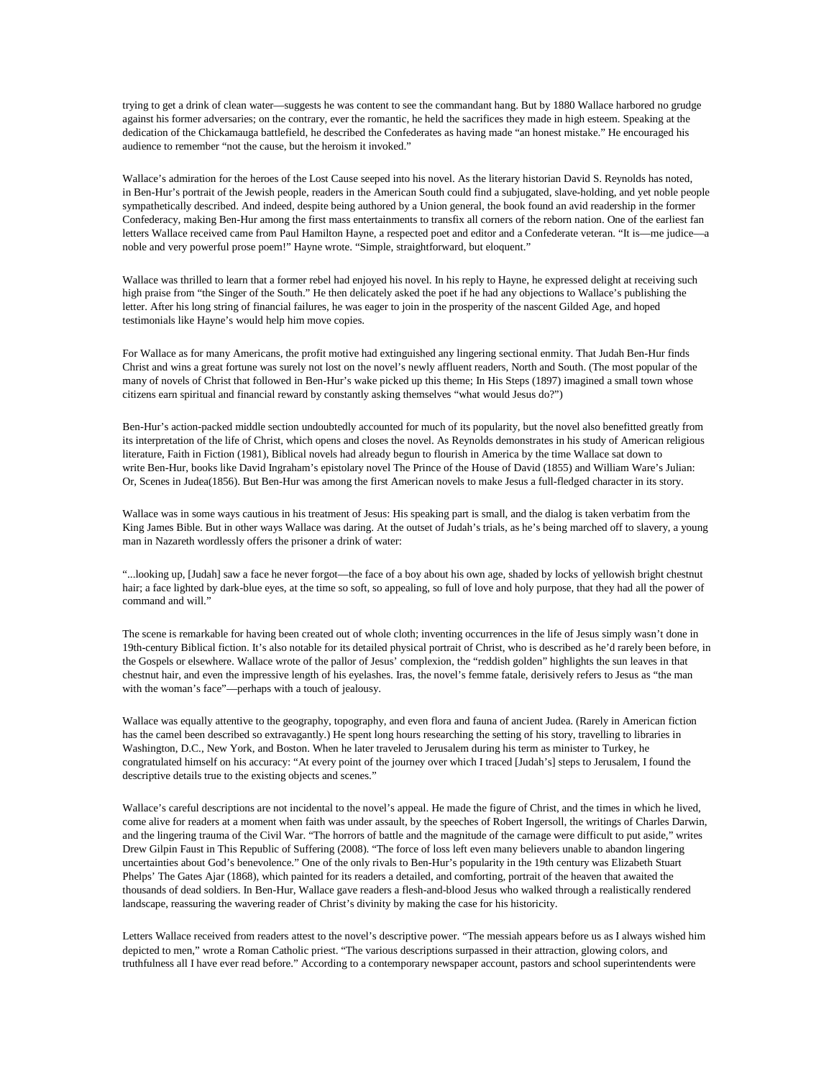trying to get a drink of clean water—suggests he was content to see the commandant hang. But by 1880 Wallace harbored no grudge against his former adversaries; on the contrary, ever the romantic, he held the sacrifices they made in high esteem. [Speaking](http://books.google.com/books?id=_38vAAAAYAAJ&lpg=PA104&ots=5BcxSZaMAz&dq=lew%20wallace%20chickamauga&pg=PA104#v=onepage&q&f=false) at the dedication of the Chickamauga battlefield, he described the Confederates as having made "an honest mistake." He encouraged his audience to remember "not the cause, but the heroism it invoked."

Wallace's admiration for the heroes of the Lost Cause seeped into his novel. As the literary historian David S. Reynolds has noted, in Ben-Hur's portrait of the Jewish people, readers in the American South could find a subjugated, slave-holding, and yet noble people sympathetically described. And indeed, despite being authored by a Union general, the book found an avid readership in the former Confederacy, making Ben-Hur among the first mass entertainments to transfix all corners of the reborn nation. One of the earliest fan letters Wallace received came from Paul Hamilton Hayne, a respected poet and editor and a Confederate veteran. "It is—me judice—a noble and very powerful prose poem!" Hayne wrote. "Simple, straightforward, but eloquent."

Wallace was thrilled to learn that a former rebel had enjoyed his novel. In his reply to Hayne, he expressed delight at receiving such high praise from "the Singer of the South." He then delicately asked the poet if he had any objections to Wallace's publishing the letter. After his long string of financial failures, he was eager to join in the prosperity of the nascent Gilded Age, and hoped testimonials like Hayne's would help him move copies.

For Wallace as for many Americans, the profit motive had extinguished any lingering sectional enmity. That Judah Ben-Hur finds Christ and wins a great fortune was surely not lost on the novel's newly affluent readers, North and South. (The most popular of the many of novels of Christ that followed in Ben-Hur's wake picked up this theme; [In His Steps](http://books.google.com/books/about/In_His_Steps.html?id=UhllFv-MvKkC) (1897) imagined a small town whose citizens earn spiritual and financial reward by constantly asking themselves "what would Jesus do?")

Ben-Hur's action-packed middle section undoubtedly accounted for much of its popularity, but the novel also benefitted greatly from its interpretation of the life of Christ, which opens and closes the novel. As Reynolds demonstrates in his study of American religious literature, [Faith in Fiction](http://www.amazon.com/gp/product/0674291727/ref=as_li_ss_tl?ie=UTF8&camp=1789&creative=390957&creativeASIN=0674291727&linkCode=as2&tag=slatmaga-20) (1981), Biblical novels had already begun to flourish in America by the time Wallace sat down to write Ben-Hur, books like David Ingraham's epistolary novel The Prince of the House of David (1855) and William Ware's Julian: Or, Scenes in Judea(1856). But Ben-Hur was among the first American novels to make Jesus a full-fledged character in its story.

Wallace was in some ways cautious in his treatment of Jesus: His speaking part is small, and the dialog is taken verbatim from the King James Bible. But in other ways Wallace was daring. At the outset of Judah's trials, as he's being marched off to slavery, a young man in Nazareth wordlessly offers the prisoner a drink of water:

"...looking up, [Judah] saw a face he never forgot—the face of a boy about his own age, shaded by locks of yellowish bright chestnut hair; a face lighted by dark-blue eyes, at the time so soft, so appealing, so full of love and holy purpose, that they had all the power of command and will."

The scene is remarkable for having been created out of whole cloth; inventing occurrences in the life of Jesus simply wasn't done in 19th-century Biblical fiction. It's also notable for its detailed physical portrait of Christ, who is described as he'd rarely been before, in the Gospels or elsewhere. Wallace wrote of the pallor of Jesus' complexion, the "reddish golden" highlights the sun leaves in that chestnut hair, and even the impressive length of his eyelashes. Iras, the novel's femme fatale, derisively refers to Jesus as "the man with the woman's face"—perhaps with a touch of jealousy.

Wallace was equally attentive to the geography, topography, and even flora and fauna of ancient Judea. (Rarely in American fiction has the camel been described so extravagantly.) He spent long hours researching the setting of his story, travelling to libraries in Washington, D.C., New York, and Boston. When he later traveled to Jerusalem during his term as minister to Turkey, he congratulated himself on his accuracy: "At every point of the journey over which I traced [Judah's] steps to Jerusalem, I found the descriptive details true to the existing objects and scenes."

Wallace's careful descriptions are not incidental to the novel's appeal. He made the figure of Christ, and the times in which he lived, come alive for readers at a moment when faith was under assault, by the speeches of Robert Ingersoll, the writings of Charles Darwin, and the lingering trauma of the Civil War. "The horrors of battle and the magnitude of the carnage were difficult to put aside," writes Drew Gilpin Faust in [This Republic of Suffering](http://www.amazon.com/gp/product/0375703837/ref=as_li_ss_tl?ie=UTF8&camp=1789&creative=390957&creativeASIN=0375703837&linkCode=as2&tag=slatmaga-20) (2008). "The force of loss left even many believers unable to abandon lingering uncertainties about God's benevolence." One of the only rivals to Ben-Hur's popularity in the 19th century was Elizabeth Stuart Phelps' [The Gates Ajar](http://books.google.com/books/about/The_Gates_Ajar.html?id=Iv8EAAAAYAAJ) (1868), which painted for its readers a detailed, and comforting, portrait of the heaven that awaited the thousands of dead soldiers. In Ben-Hur, Wallace gave readers a flesh-and-blood Jesus who walked through a realistically rendered landscape, reassuring the wavering reader of Christ's divinity by making the case for his historicity.

Letters Wallace received from readers attest to the novel's descriptive power. "The messiah appears before us as I always wished him depicted to men," wrote a Roman Catholic priest. "The various descriptions surpassed in their attraction, glowing colors, and truthfulness all I have ever read before." According to a contemporary newspaper account, pastors and school superintendents were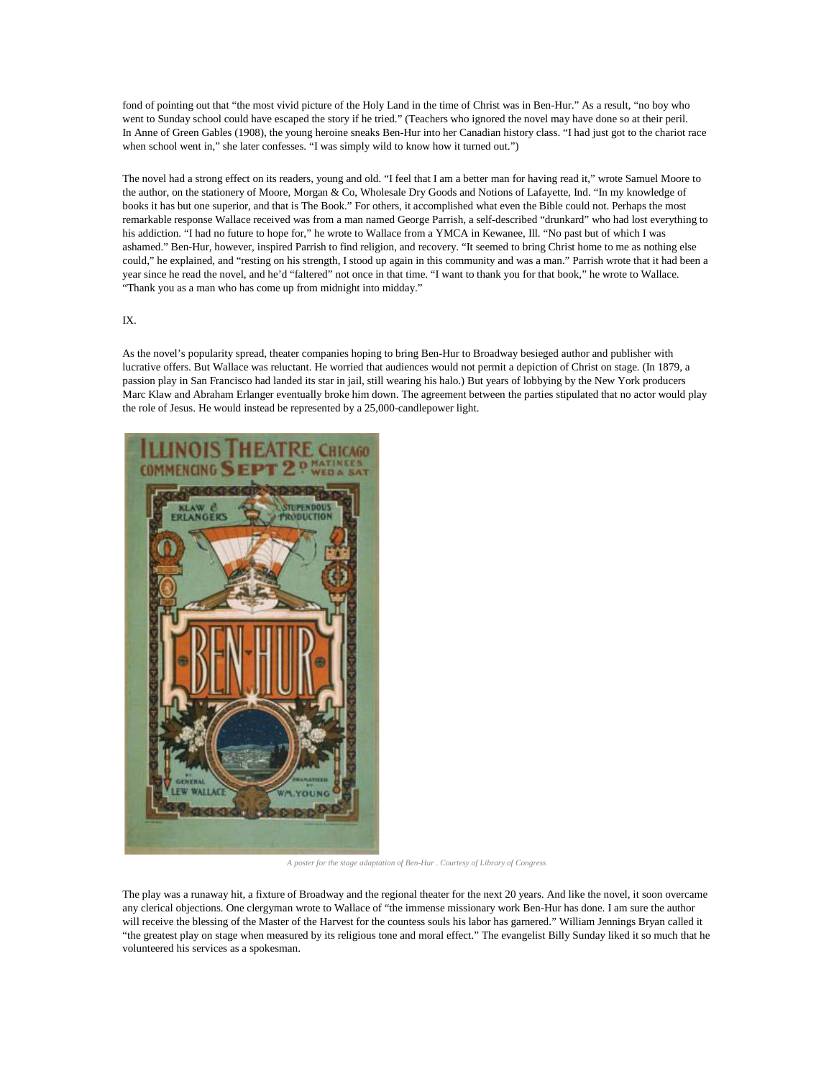fond of pointing out that "the most vivid picture of the Holy Land in the time of Christ was in Ben-Hur." As a result, "no boy who went to Sunday school could have escaped the story if he tried." (Teachers who ignored the novel may have done so at their peril. In [Anne of Green Gables](http://www.amazon.com/gp/product/1402714513/ref=as_li_ss_tl?ie=UTF8&camp=1789&creative=390957&creativeASIN=1402714513&linkCode=as2&tag=slatmaga-20) (1908), the young heroine sneaks Ben-Hur into her Canadian history class. "I had just got to the chariot race when school went in," she later confesses. "I was simply wild to know how it turned out.")

The novel had a strong effect on its readers, young and old. "I feel that I am a better man for having read it," wrote Samuel Moore to the author, on the stationery of Moore, Morgan & Co, Wholesale Dry Goods and Notions of Lafayette, Ind. "In my knowledge of books it has but one superior, and that is The Book." For others, it accomplished what even the Bible could not. Perhaps the most remarkable response Wallace received was from a man named George Parrish, a self-described "drunkard" who had lost everything to his addiction. "I had no future to hope for," he wrote to Wallace from a YMCA in Kewanee, Ill. "No past but of which I was ashamed." Ben-Hur, however, inspired Parrish to find religion, and recovery. "It seemed to bring Christ home to me as nothing else could," he explained, and "resting on his strength, I stood up again in this community and was a man." Parrish wrote that it had been a year since he read the novel, and he'd "faltered" not once in that time. "I want to thank you for that book," he wrote to Wallace. "Thank you as a man who has come up from midnight into midday."

## IX.

As the novel's popularity spread, theater companies hoping to bring Ben-Hur to Broadway besieged author and publisher with lucrative offers. But Wallace was reluctant. He worried that audiences would not permit a depiction of Christ on stage. (In 1879, a passion play in San Francisco had landed its star in jail, still wearing his halo.) But years of lobbying by the New York producers Marc Klaw and Abraham Erlanger eventually broke him down. The agreement between the parties stipulated that no actor would play the role of Jesus. He would instead be represented by a 25,000-candlepower light.



*A poster for the stage adaptation of Ben-Hur . Courtesy of Library of Congress*

The play was a runaway hit, a fixture of Broadway and the regional theater for the next 20 years. And like the novel, it soon overcame any clerical objections. One clergyman wrote to Wallace of "the immense missionary work Ben-Hur has done. I am sure the author will receive the blessing of the Master of the Harvest for the countess souls his labor has garnered." William Jennings Bryan called it "the greatest play on stage when measured by its religious tone and moral effect." The evangelist Billy Sunday liked it so much that he volunteered his services as a spokesman.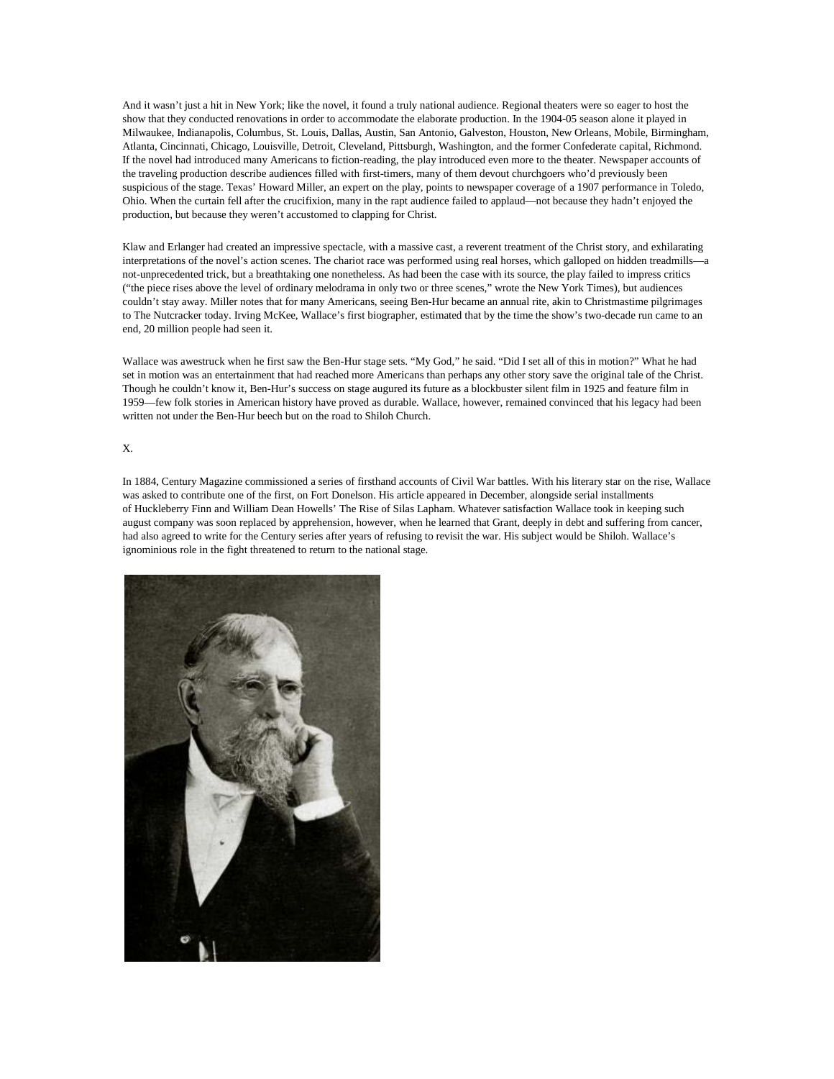And it wasn't just a hit in New York; like the novel, it found a truly national audience. Regional theaters were so eager to host the show that they conducted renovations in order to accommodate the elaborate production. In the 1904-05 season alone it played in Milwaukee, Indianapolis, Columbus, St. Louis, Dallas, Austin, San Antonio, Galveston, Houston, New Orleans, Mobile, Birmingham, Atlanta, Cincinnati, Chicago, Louisville, Detroit, Cleveland, Pittsburgh, Washington, and the former Confederate capital, Richmond. If the novel had introduced many Americans to fiction-reading, the play introduced even more to the theater. Newspaper accounts of the traveling production describe audiences filled with first-timers, many of them devout churchgoers who'd previously been suspicious of the stage. Texas' Howard Miller, an expert on the play, [points](http://www.jstor.org/discover/10.2307/27792886?uid=3739832&uid=2&uid=4&uid=3739256&sid=21101988542707) to newspaper coverage of a 1907 performance in Toledo, Ohio. When the curtain fell after the crucifixion, many in the rapt audience failed to applaud—not because they hadn't enjoyed the production, but because they weren't accustomed to clapping for Christ.

Klaw and Erlanger had created an impressive spectacle, with a massive cast, a reverent treatment of the Christ story, and exhilarating interpretations of the novel's action scenes. The chariot race was performed using real horses, which galloped on hidden treadmills—a not-unprecedented trick, but a breathtaking one nonetheless. As had been the case with its source, the play failed to impress critics ("the piece rises above the level of ordinary melodrama in only two or three scenes," wrote the New York Times), but audiences couldn't stay away. Miller notes that for many Americans, seeing Ben-Hur became an annual rite, akin to Christmastime pilgrimages to The Nutcracker today. Irving McKee, Wallace's first biographer, estimated that by the time the show's two-decade run came to an end, 20 million people had seen it.

Wallace was awestruck when he first saw the Ben-Hur stage sets. "My God," he said. "Did I set all of this in motion?" What he had set in motion was an entertainment that had reached more Americans than perhaps any other story save the original tale of the Christ. Though he couldn't know it, Ben-Hur's success on stage augured its future as a blockbuster silent film in 1925 and feature film in 1959—few folk stories in American history have proved as durable. Wallace, however, remained convinced that his legacy had been written not under the Ben-Hur beech but on the road to Shiloh Church.

## X.

In 1884, Century Magazine commissioned a series of firsthand accounts of Civil War battles. With his literary star on the rise, Wallace was asked to contribute one of the first, on Fort Donelson. His article appeared in December, alongside serial installments of Huckleberry Finn and William Dean Howells' The Rise of Silas Lapham. Whatever satisfaction Wallace took in keeping such august company was soon replaced by apprehension, however, when he learned that Grant, deeply in debt and suffering from cancer, had also agreed to write for the Century series after years of refusing to revisit the war. His subject would be Shiloh. Wallace's ignominious role in the fight threatened to return to the national stage.

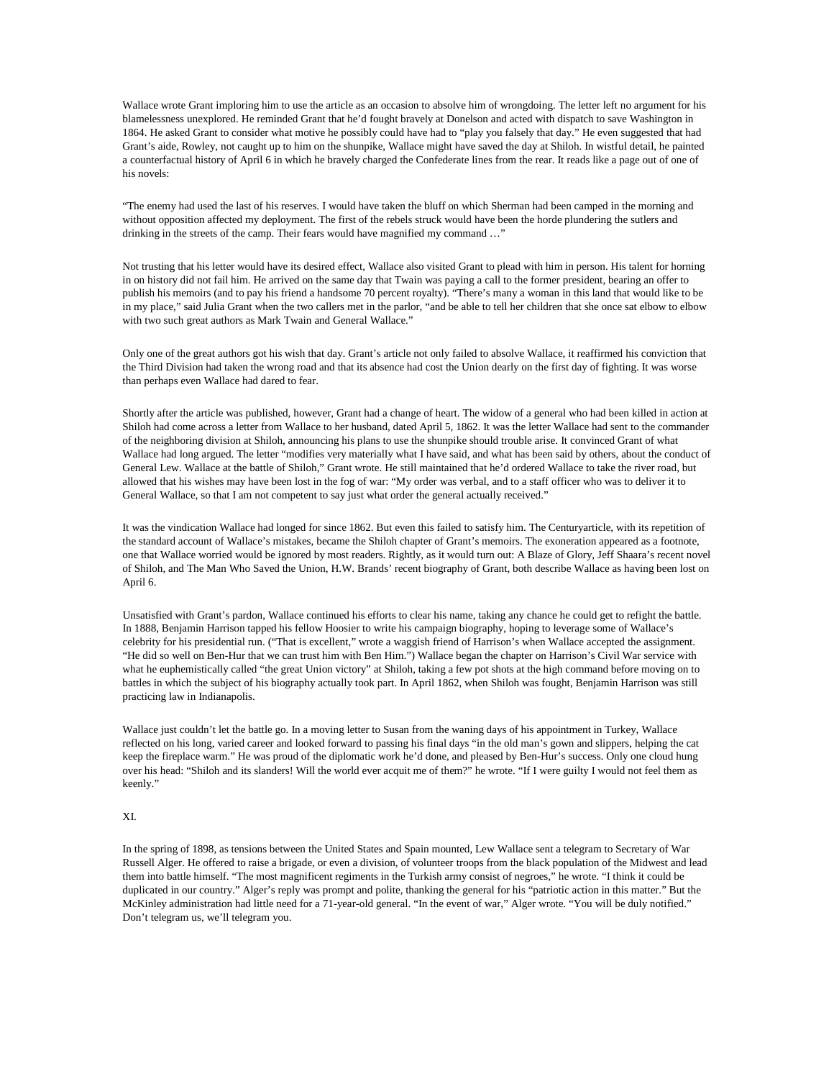Wallace wrote Grant imploring him to use the article as an occasion to absolve him of wrongdoing. The letter left no argument for his blamelessness unexplored. He reminded Grant that he'd fought bravely at Donelson and acted with dispatch to save Washington in 1864. He asked Grant to consider what motive he possibly could have had to "play you falsely that day." He even suggested that had Grant's aide, Rowley, not caught up to him on the shunpike, Wallace might have saved the day at Shiloh. In wistful detail, he painted a counterfactual history of April 6 in which he bravely charged the Confederate lines from the rear. It reads like a page out of one of his novels:

"The enemy had used the last of his reserves. I would have taken the bluff on which Sherman had been camped in the morning and without opposition affected my deployment. The first of the rebels struck would have been the horde plundering the sutlers and drinking in the streets of the camp. Their fears would have magnified my command ..."

Not trusting that his letter would have its desired effect, Wallace also visited Grant to plead with him in person. His talent for horning in on history did not fail him. He arrived on the same day that Twain was paying a call to the former president, bearing an offer to publish his memoirs (and to pay his friend a handsome 70 percent royalty). "There's many a woman in this land that would like to be in my place," said Julia Grant when the two callers met in the parlor, "and be able to tell her children that she once sat elbow to elbow with two such great authors as Mark Twain and General Wallace."

Only one of the great authors got his wish that day. Grant's article not only failed to absolve Wallace, it reaffirmed his conviction that the Third Division had taken the wrong road and that its absence had cost the Union dearly on the first day of fighting. It was worse than perhaps even Wallace had dared to fear.

Shortly after the article was published, however, Grant had a change of heart. The widow of a general who had been killed in action at Shiloh had come across a letter from Wallace to her husband, dated April 5, 1862. It was the letter Wallace had sent to the commander of the neighboring division at Shiloh, announcing his plans to use the shunpike should trouble arise. It convinced Grant of what Wallace had long argued. The letter "modifies very materially what I have said, and what has been said by others, about the conduct of General Lew. Wallace at the battle of Shiloh," Grant wrote. He still maintained that he'd ordered Wallace to take the river road, but allowed that his wishes may have been lost in the fog of war: "My order was verbal, and to a staff officer who was to deliver it to General Wallace, so that I am not competent to say just what order the general actually received."

It was the vindication Wallace had longed for since 1862. But even this failed to satisfy him. The Centuryarticle, with its repetition of the standard account of Wallace's mistakes, became the Shiloh chapter of Grant's memoirs. The exoneration appeared as a footnote, one that Wallace worried would be ignored by most readers. Rightly, as it would turn out: [A Blaze of Glory,](http://www.amazon.com/gp/product/0345527356/ref=as_li_ss_tl?ie=UTF8&camp=1789&creative=390957&creativeASIN=0345527356&linkCode=as2&tag=slatmaga-20) Jeff Shaara's recent novel of Shiloh, and [The Man Who Saved the Union,](http://www.amazon.com/gp/product/0385532415/ref=as_li_ss_tl?ie=UTF8&camp=1789&creative=390957&creativeASIN=0385532415&linkCode=as2&tag=slatmaga-20) H.W. Brands' recent biography of Grant, both describe Wallace as having been lost on April 6.

Unsatisfied with Grant's pardon, Wallace continued his efforts to clear his name, taking any chance he could get to refight the battle. In 1888, Benjamin Harrison tapped his fellow Hoosier to write his campaign biography, hoping to leverage some of Wallace's celebrity for his presidential run. ("That is excellent," wrote a waggish friend of Harrison's when Wallace accepted the assignment. "He did so well on Ben-Hur that we can trust him with Ben Him.") Wallace began the chapter on Harrison's Civil War service with what he euphemistically called "the great Union victory" at Shiloh, taking a few pot shots at the high command before moving on to battles in which the subject of his biography actually took part. In April 1862, when Shiloh was fought, Benjamin Harrison was still practicing law in Indianapolis.

Wallace just couldn't let the battle go. In a moving letter to Susan from the waning days of his appointment in Turkey, Wallace reflected on his long, varied career and looked forward to passing his final days "in the old man's gown and slippers, helping the cat keep the fireplace warm." He was proud of the diplomatic work he'd done, and pleased by Ben-Hur's success. Only one cloud hung over his head: "Shiloh and its slanders! Will the world ever acquit me of them?" he wrote. "If I were guilty I would not feel them as keenly."

## XI.

In the spring of 1898, as tensions between the United States and Spain mounted, Lew Wallace sent a telegram to Secretary of War Russell Alger. He offered to raise a brigade, or even a division, of volunteer troops from the black population of the Midwest and lead them into battle himself. "The most magnificent regiments in the Turkish army consist of negroes," he wrote. "I think it could be duplicated in our country." Alger's reply was prompt and polite, thanking the general for his "patriotic action in this matter." But the McKinley administration had little need for a 71-year-old general. "In the event of war," Alger wrote. "You will be duly notified." Don't telegram us, we'll telegram you.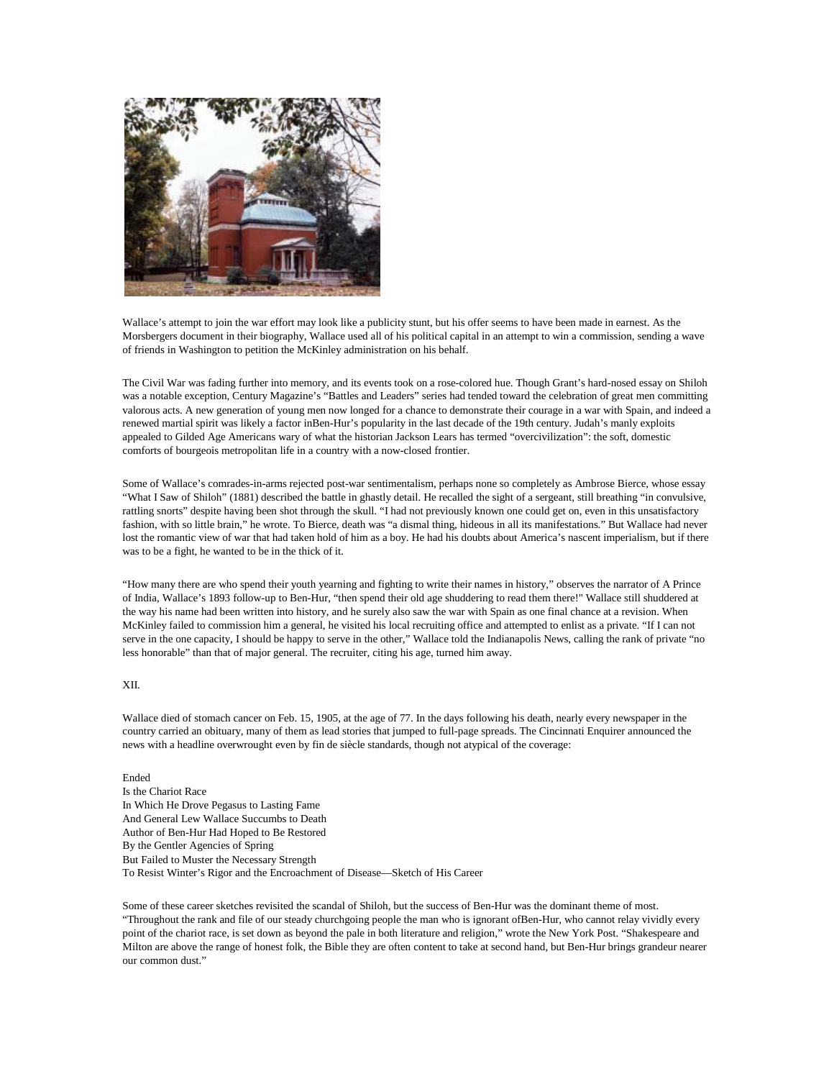

Wallace's attempt to join the war effort may look like a publicity stunt, but his offer seems to have been made in earnest. As the Morsbergers document in their biography, Wallace used all of his political capital in an attempt to win a commission, sending a wave of friends in Washington to petition the McKinley administration on his behalf.

The Civil War was fading further into memory, and its events took on a rose-colored hue. Though Grant's hard-nosed essay on Shiloh was a notable exception, Century Magazine's "Battles and Leaders" series had tended toward the celebration of great men committing valorous acts. A new generation of young men now longed for a chance to demonstrate their courage in a war with Spain, and indeed a renewed martial spirit was likely a factor inBen-Hur's popularity in the last decade of the 19th century. Judah's manly exploits appealed to Gilded Age Americans wary of what the historian Jackson Lears has termed "overcivilization": the soft, domestic comforts of bourgeois metropolitan life in a country with a now-closed frontier.

Some of Wallace's comrades-in-arms rejected post-war sentimentalism, perhaps none so completely as Ambrose Bierce, whose essay "What I Saw of Shiloh" (1881) described the battle in ghastly detail. He recalled the sight of a sergeant, still breathing "in convulsive, rattling snorts" despite having been shot through the skull. "I had not previously known one could get on, even in this unsatisfactory fashion, with so little brain," he wrote. To Bierce, death was "a dismal thing, hideous in all its manifestations." But Wallace had never lost the romantic view of war that had taken hold of him as a boy. He had his doubts about America's nascent imperialism, but if there was to be a fight, he wanted to be in the thick of it.

"How many there are who spend their youth yearning and fighting to write their names in history," observes the narrator of [A Prince](http://books.google.com/books?id=uZoQAAAAYAAJ&dq=a%20prince%20of%20india%20google%20books&pg=PP1#v=onepage&q&f=false)  [of India,](http://books.google.com/books?id=uZoQAAAAYAAJ&dq=a%20prince%20of%20india%20google%20books&pg=PP1#v=onepage&q&f=false) Wallace's 1893 follow-up to Ben-Hur, "then spend their old age shuddering to read them there!" Wallace still shuddered at the way his name had been written into history, and he surely also saw the war with Spain as one final chance at a revision. When McKinley failed to commission him a general, he visited his local recruiting office and attempted to enlist as a private. "If I can not serve in the one capacity, I should be happy to serve in the other," Wallace told the Indianapolis News, calling the rank of private "no less honorable" than that of major general. The recruiter, citing his age, turned him away.

## XII.

Wallace died of stomach cancer on Feb. 15, 1905, at the age of 77. In the days following his death, nearly every newspaper in the country carried an obituary, many of them as lead stories that jumped to full-page spreads. The Cincinnati Enquirer announced the news with a headline overwrought even by fin de siècle standards, though not atypical of the coverage:

Ended Is the Chariot Race In Which He Drove Pegasus to Lasting Fame And General Lew Wallace Succumbs to Death Author of Ben-Hur Had Hoped to Be Restored By the Gentler Agencies of Spring But Failed to Muster the Necessary Strength To Resist Winter's Rigor and the Encroachment of Disease—Sketch of His Career

Some of these career sketches revisited the scandal of Shiloh, but the success of Ben-Hur was the dominant theme of most. "Throughout the rank and file of our steady churchgoing people the man who is ignorant ofBen-Hur, who cannot relay vividly every point of the chariot race, is set down as beyond the pale in both literature and religion," wrote the New York Post. "Shakespeare and Milton are above the range of honest folk, the Bible they are often content to take at second hand, but Ben-Hur brings grandeur nearer our common dust."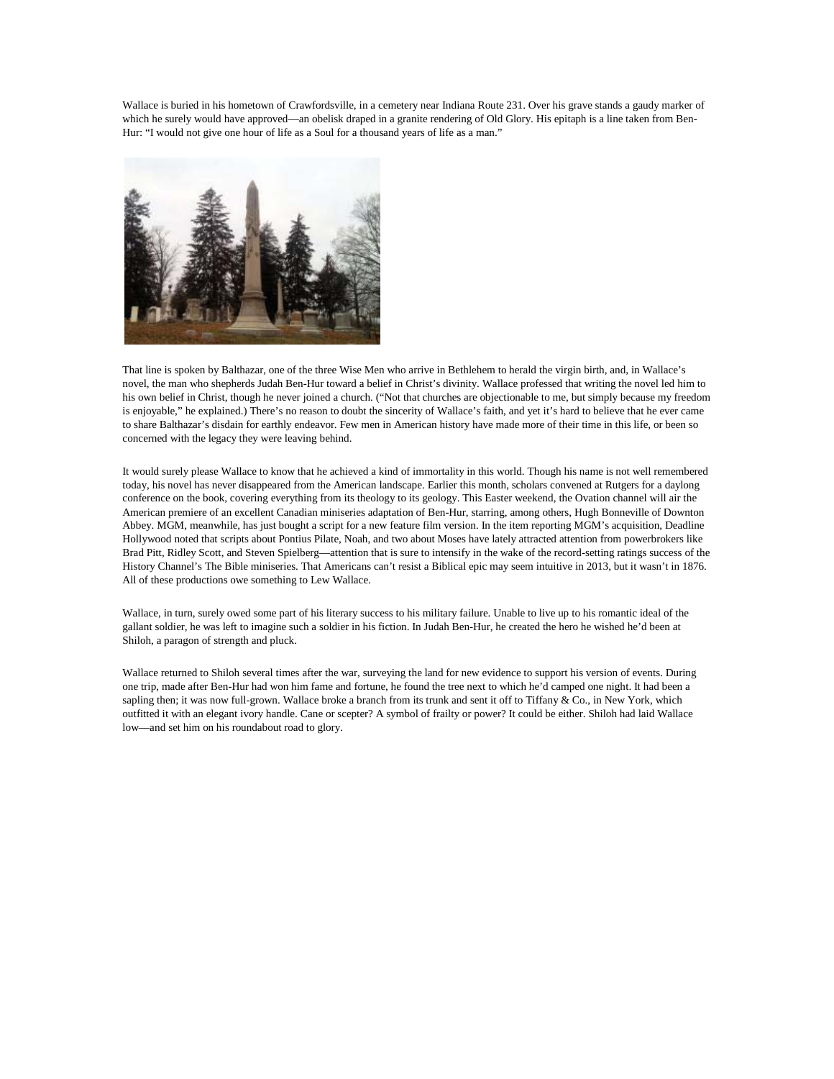Wallace is buried in his hometown of Crawfordsville, in a cemetery near Indiana Route 231. Over his grave stands a gaudy marker of which he surely would have approved—an obelisk draped in a granite rendering of Old Glory. His epitaph is a line taken from Ben-Hur: "I would not give one hour of life as a Soul for a thousand years of life as a man."



That line is spoken by Balthazar, one of the three Wise Men who arrive in Bethlehem to herald the virgin birth, and, in Wallace's novel, the man who shepherds Judah Ben-Hur toward a belief in Christ's divinity. Wallace professed that writing the novel led him to his own belief in Christ, though he never joined a church. ("Not that churches are objectionable to me, but simply because my freedom is enjoyable," he explained.) There's no reason to doubt the sincerity of Wallace's faith, and yet it's hard to believe that he ever came to share Balthazar's disdain for earthly endeavor. Few men in American history have made more of their time in this life, or been so concerned with the legacy they were leaving behind.

It would surely please Wallace to know that he achieved a kind of immortality in this world. Though his name is not well remembered today, his novel has never disappeared from the American landscape. Earlier this month, scholars [convened at Rutgers](http://jackson.rutgers.edu/ben-hur) for a daylong conference on the book, covering everything from its theology to its geology. This Easter weekend, the Ovation channel will air the American premiere of an excellent Canadian miniseries adaptation of Ben-Hur, starring, among others, Hugh Bonneville of Downton Abbey. MGM, meanwhile, has just bought a script for a new feature film version. In [the item](http://www.deadline.com/2013/01/new-ben-hur-movie-remake-reboot-mgm-lew-wallace-novel/) reporting MGM's acquisition, Deadline Hollywood noted that scripts about Pontius Pilate, Noah, and two about Moses have lately attracted attention from powerbrokers like Brad Pitt, Ridley Scott, and Steven Spielberg—attention that is sure to intensify in the wake of the record-setting ratings success of the History Channel's The Bible miniseries. That Americans can't resist a Biblical epic may seem intuitive in 2013, but it wasn't in 1876. All of these productions owe something to Lew Wallace.

Wallace, in turn, surely owed some part of his literary success to his military failure. Unable to live up to his romantic ideal of the gallant soldier, he was left to imagine such a soldier in his fiction. In Judah Ben-Hur, he created the hero he wished he'd been at Shiloh, a paragon of strength and pluck.

Wallace returned to Shiloh several times after the war, surveying the land for new evidence to support his version of events. During one trip, made after Ben-Hur had won him fame and fortune, he found the tree next to which he'd camped one night. It had been a sapling then; it was now full-grown. Wallace broke a branch from its trunk and sent it off to Tiffany  $&Co$ , in New York, which outfitted it with an elegant ivory handle. Cane or scepter? A symbol of frailty or power? It could be either. Shiloh had laid Wallace low—and set him on his roundabout road to glory.